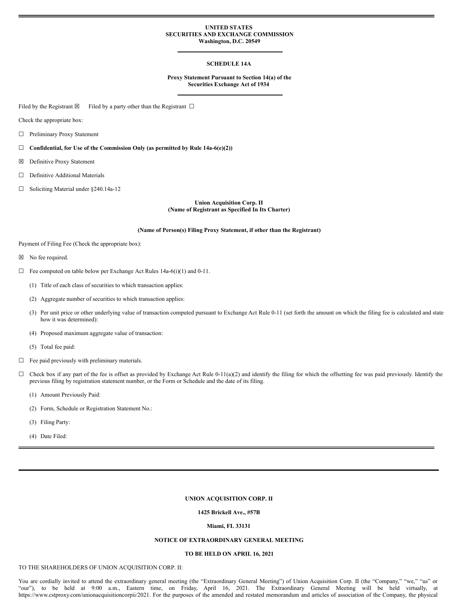#### **UNITED STATES SECURITIES AND EXCHANGE COMMISSION Washington, D.C. 20549**

## **SCHEDULE 14A**

#### **Proxy Statement Pursuant to Section 14(a) of the Securities Exchange Act of 1934**

Filed by the Registrant  $\boxtimes$  Filed by a party other than the Registrant  $\Box$ 

Check the appropriate box:

☐ Preliminary Proxy Statement

☐ **Confidential, for Use of the Commission Only (as permitted by Rule 14a-6(e)(2))**

- ☒ Definitive Proxy Statement
- ☐ Definitive Additional Materials
- ☐ Soliciting Material under §240.14a-12

**Union Acquisition Corp. II (Name of Registrant as Specified In Its Charter)**

#### **(Name of Person(s) Filing Proxy Statement, if other than the Registrant)**

Payment of Filing Fee (Check the appropriate box):

- ☒ No fee required.
- $\Box$  Fee computed on table below per Exchange Act Rules 14a-6(i)(1) and 0-11.
	- (1) Title of each class of securities to which transaction applies:
	- (2) Aggregate number of securities to which transaction applies:
	- (3) Per unit price or other underlying value of transaction computed pursuant to Exchange Act Rule 0-11 (set forth the amount on which the filing fee is calculated and state how it was determined):
	- (4) Proposed maximum aggregate value of transaction:
	- (5) Total fee paid:
- ☐ Fee paid previously with preliminary materials.
- $\Box$  Check box if any part of the fee is offset as provided by Exchange Act Rule 0-11(a)(2) and identify the filing for which the offsetting fee was paid previously. Identify the previous filing by registration statement number, or the Form or Schedule and the date of its filing.
	- (1) Amount Previously Paid:
	- (2) Form, Schedule or Registration Statement No.:
	- (3) Filing Party:
	- (4) Date Filed:

#### **UNION ACQUISITION CORP. II**

#### **1425 Brickell Ave., #57B**

#### **Miami, FL 33131**

# **NOTICE OF EXTRAORDINARY GENERAL MEETING**

# **TO BE HELD ON APRIL 16, 2021**

## TO THE SHAREHOLDERS OF UNION ACQUISITION CORP. II:

You are cordially invited to attend the extraordinary general meeting (the "Extraordinary General Meeting") of Union Acquisition Corp. II (the "Company," "we," "us" or "our"), to be held at 9:00 a.m., Eastern time, on Friday, April 16, 2021. The Extraordinary General Meeting will be held virtually, at https://www.cstproxy.com/unionacquisitioncorpii/2021. For the purposes of the amended and restated memorandum and articles of association of the Company, the physical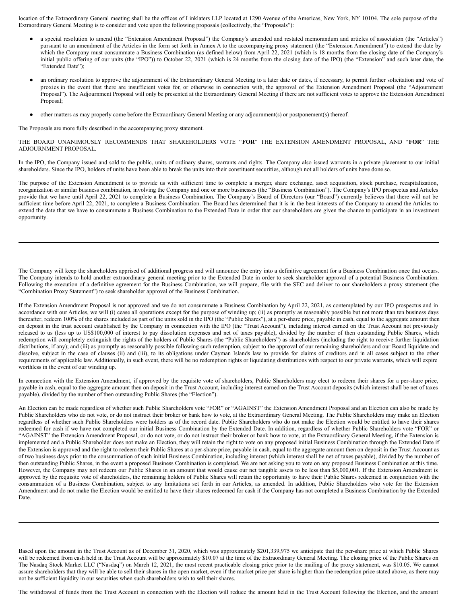location of the Extraordinary General meeting shall be the offices of Linklaters LLP located at 1290 Avenue of the Americas, New York, NY 10104. The sole purpose of the Extraordinary General Meeting is to consider and vote upon the following proposals (collectively, the "Proposals"):

- a special resolution to amend (the "Extension Amendment Proposal") the Company's amended and restated memorandum and articles of association (the "Articles") pursuant to an amendment of the Articles in the form set forth in Annex A to the accompanying proxy statement (the "Extension Amendment") to extend the date by which the Company must consummate a Business Combination (as defined below) from April 22, 2021 (which is 18 months from the closing date of the Company's initial public offering of our units (the "IPO")) to October 22, 2021 (which is 24 months from the closing date of the IPO) (the "Extension" and such later date, the "Extended Date");
- an ordinary resolution to approve the adjournment of the Extraordinary General Meeting to a later date or dates, if necessary, to permit further solicitation and vote of proxies in the event that there are insufficient votes for, or otherwise in connection with, the approval of the Extension Amendment Proposal (the "Adjournment Proposal"). The Adjournment Proposal will only be presented at the Extraordinary General Meeting if there are not sufficient votes to approve the Extension Amendment Proposal;
- other matters as may properly come before the Extraordinary General Meeting or any adjournment(s) or postponement(s) thereof.

The Proposals are more fully described in the accompanying proxy statement.

THE BOARD UNANIMOUSLY RECOMMENDS THAT SHAREHOLDERS VOTE "**FOR**" THE EXTENSION AMENDMENT PROPOSAL, AND "**FOR**" THE ADJOURNMENT PROPOSAL.

In the IPO, the Company issued and sold to the public, units of ordinary shares, warrants and rights. The Company also issued warrants in a private placement to our initial shareholders. Since the IPO, holders of units have been able to break the units into their constituent securities, although not all holders of units have done so.

The purpose of the Extension Amendment is to provide us with sufficient time to complete a merger, share exchange, asset acquisition, stock purchase, recapitalization, reorganization or similar business combination, involving the Company and one or more businesses (the "Business Combination"). The Company's IPO prospectus and Articles provide that we have until April 22, 2021 to complete a Business Combination. The Company's Board of Directors (our "Board") currently believes that there will not be sufficient time before April 22, 2021, to complete a Business Combination. The Board has determined that it is in the best interests of the Company to amend the Articles to extend the date that we have to consummate a Business Combination to the Extended Date in order that our shareholders are given the chance to participate in an investment opportunity.

The Company will keep the shareholders apprised of additional progress and will announce the entry into a definitive agreement for a Business Combination once that occurs. The Company intends to hold another extraordinary general meeting prior to the Extended Date in order to seek shareholder approval of a potential Business Combination. Following the execution of a definitive agreement for the Business Combination, we will prepare, file with the SEC and deliver to our shareholders a proxy statement (the "Combination Proxy Statement") to seek shareholder approval of the Business Combination.

If the Extension Amendment Proposal is not approved and we do not consummate a Business Combination by April 22, 2021, as contemplated by our IPO prospectus and in accordance with our Articles, we will (i) cease all operations except for the purpose of winding up; (ii) as promptly as reasonably possible but not more than ten business days thereafter, redeem 100% of the shares included as part of the units sold in the IPO (the "Public Shares"), at a per-share price, payable in cash, equal to the aggregate amount then on deposit in the trust account established by the Company in connection with the IPO (the "Trust Account"), including interest earned on the Trust Account not previously released to us (less up to US\$100,000 of interest to pay dissolution expenses and net of taxes payable), divided by the number of then outstanding Public Shares, which redemption will completely extinguish the rights of the holders of Public Shares (the "Public Shareholders") as shareholders (including the right to receive further liquidation distributions, if any); and (iii) as promptly as reasonably possible following such redemption, subject to the approval of our remaining shareholders and our Board liquidate and dissolve, subject in the case of clauses (ii) and (iii), to its obligations under Cayman Islands law to provide for claims of creditors and in all cases subject to the other requirements of applicable law. Additionally, in such event, there will be no redemption rights or liquidating distributions with respect to our private warrants, which will expire worthless in the event of our winding up.

In connection with the Extension Amendment, if approved by the requisite vote of shareholders, Public Shareholders may elect to redeem their shares for a per-share price, payable in cash, equal to the aggregate amount then on deposit in the Trust Account, including interest earned on the Trust Account deposits (which interest shall be net of taxes payable), divided by the number of then outstanding Public Shares (the "Election").

An Election can be made regardless of whether such Public Shareholders vote "FOR" or "AGAINST" the Extension Amendment Proposal and an Election can also be made by Public Shareholders who do not vote, or do not instruct their broker or bank how to vote, at the Extraordinary General Meeting. The Public Shareholders may make an Election regardless of whether such Public Shareholders were holders as of the record date. Public Shareholders who do not make the Election would be entitled to have their shares redeemed for cash if we have not completed our initial Business Combination by the Extended Date. In addition, regardless of whether Public Shareholders vote "FOR" or "AGAINST" the Extension Amendment Proposal, or do not vote, or do not instruct their broker or bank how to vote, at the Extraordinary General Meeting, if the Extension is implemented and a Public Shareholder does not make an Election, they will retain the right to vote on any proposed initial Business Combination through the Extended Date if the Extension is approved and the right to redeem their Public Shares at a per-share price, payable in cash, equal to the aggregate amount then on deposit in the Trust Account as of two business days prior to the consummation of such initial Business Combination, including interest (which interest shall be net of taxes payable), divided by the number of then outstanding Public Shares, in the event a proposed Business Combination is completed. We are not asking you to vote on any proposed Business Combination at this time. However, the Company may not redeem our Public Shares in an amount that would cause our net tangible assets to be less than \$5,000,001. If the Extension Amendment is approved by the requisite vote of shareholders, the remaining holders of Public Shares will retain the opportunity to have their Public Shares redeemed in conjunction with the consummation of a Business Combination, subject to any limitations set forth in our Articles, as amended. In addition, Public Shareholders who vote for the Extension Amendment and do not make the Election would be entitled to have their shares redeemed for cash if the Company has not completed a Business Combination by the Extended Date.

Based upon the amount in the Trust Account as of December 31, 2020, which was approximately \$201,339,975 we anticipate that the per-share price at which Public Shares will be redeemed from cash held in the Trust Account will be approximately \$10.07 at the time of the Extraordinary General Meeting. The closing price of the Public Shares on The Nasdaq Stock Market LLC ("Nasdaq") on March 12, 2021, the most recent practicable closing price prior to the mailing of the proxy statement, was \$10.05. We cannot assure shareholders that they will be able to sell their shares in the open market, even if the market price per share is higher than the redemption price stated above, as there may not be sufficient liquidity in our securities when such shareholders wish to sell their shares.

The withdrawal of funds from the Trust Account in connection with the Election will reduce the amount held in the Trust Account following the Election, and the amount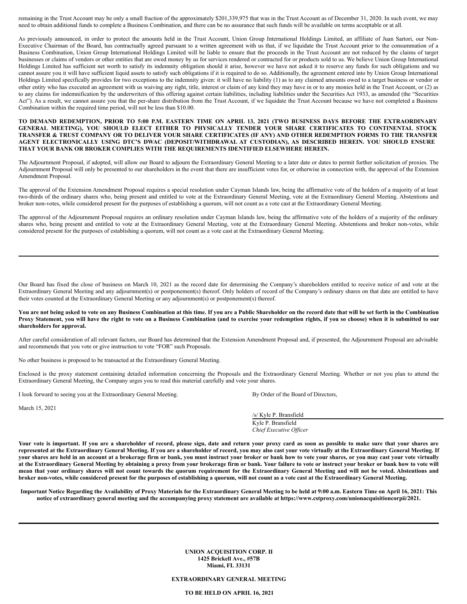remaining in the Trust Account may be only a small fraction of the approximately \$201,339,975 that was in the Trust Account as of December 31, 2020. In such event, we may need to obtain additional funds to complete a Business Combination, and there can be no assurance that such funds will be available on terms acceptable or at all.

As previously announced, in order to protect the amounts held in the Trust Account, Union Group International Holdings Limited, an affiliate of Juan Sartori, our Non-Executive Chairman of the Board, has contractually agreed pursuant to a written agreement with us that, if we liquidate the Trust Account prior to the consummation of a Business Combination, Union Group International Holdings Limited will be liable to ensure that the proceeds in the Trust Account are not reduced by the claims of target businesses or claims of vendors or other entities that are owed money by us for services rendered or contracted for or products sold to us. We believe Union Group International Holdings Limited has sufficient net worth to satisfy its indemnity obligation should it arise, however we have not asked it to reserve any funds for such obligations and we cannot assure you it will have sufficient liquid assets to satisfy such obligations if it is required to do so. Additionally, the agreement entered into by Union Group International Holdings Limited specifically provides for two exceptions to the indemnity given: it will have no liability (1) as to any claimed amounts owed to a target business or vendor or other entity who has executed an agreement with us waiving any right, title, interest or claim of any kind they may have in or to any monies held in the Trust Account, or (2) as to any claims for indemnification by the underwriters of this offering against certain liabilities, including liabilities under the Securities Act 1933, as amended (the "Securities Act"). As a result, we cannot assure you that the per-share distribution from the Trust Account, if we liquidate the Trust Account because we have not completed a Business Combination within the required time period, will not be less than \$10.00.

#### TO DEMAND REDEMPTION, PRIOR TO 5:00 P.M. EASTERN TIME ON APRIL 13, 2021 (TWO BUSINESS DAYS BEFORE THE EXTRAORDINARY **GENERAL MEETING), YOU SHOULD ELECT EITHER TO PHYSICALLY TENDER YOUR SHARE CERTIFICATES TO CONTINENTAL STOCK** TRANSFER & TRUST COMPANY OR TO DELIVER YOUR SHARE CERTIFICATES (IF ANY) AND OTHER REDEMPTION FORMS TO THE TRANSFER **AGENT ELECTRONICALLY USING DTC'S DWAC (DEPOSIT/WITHDRAWAL AT CUSTODIAN), AS DESCRIBED HEREIN. YOU SHOULD ENSURE THAT YOUR BANK OR BROKER COMPLIES WITH THE REQUIREMENTS IDENTIFIED ELSEWHERE HEREIN.**

The Adjournment Proposal, if adopted, will allow our Board to adjourn the Extraordinary General Meeting to a later date or dates to permit further solicitation of proxies. The Adjournment Proposal will only be presented to our shareholders in the event that there are insufficient votes for, or otherwise in connection with, the approval of the Extension Amendment Proposal.

The approval of the Extension Amendment Proposal requires a special resolution under Cayman Islands law, being the affirmative vote of the holders of a majority of at least two-thirds of the ordinary shares who, being present and entitled to vote at the Extraordinary General Meeting, vote at the Extraordinary General Meeting. Abstentions and broker non-votes, while considered present for the purposes of establishing a quorum, will not count as a vote cast at the Extraordinary General Meeting.

The approval of the Adjournment Proposal requires an ordinary resolution under Cayman Islands law, being the affirmative vote of the holders of a majority of the ordinary shares who, being present and entitled to vote at the Extraordinary General Meeting, vote at the Extraordinary General Meeting. Abstentions and broker non-votes, while considered present for the purposes of establishing a quorum, will not count as a vote cast at the Extraordinary General Meeting.

Our Board has fixed the close of business on March 10, 2021 as the record date for determining the Company's shareholders entitled to receive notice of and vote at the Extraordinary General Meeting and any adjournment(s) or postponement(s) thereof. Only holders of record of the Company's ordinary shares on that date are entitled to have their votes counted at the Extraordinary General Meeting or any adjournment(s) or postponement(s) thereof.

#### You are not being asked to vote on any Business Combination at this time. If you are a Public Shareholder on the record date that will be set forth in the Combination Proxy Statement, you will have the right to vote on a Business Combination (and to exercise your redemption rights, if you so choose) when it is submitted to our **shareholders for approval.**

After careful consideration of all relevant factors, our Board has determined that the Extension Amendment Proposal and, if presented, the Adjournment Proposal are advisable and recommends that you vote or give instruction to vote "FOR" such Proposals.

No other business is proposed to be transacted at the Extraordinary General Meeting.

Enclosed is the proxy statement containing detailed information concerning the Proposals and the Extraordinary General Meeting. Whether or not you plan to attend the Extraordinary General Meeting, the Company urges you to read this material carefully and vote your shares.

I look forward to seeing you at the Extraordinary General Meeting. By Order of the Board of Directors,

March 15, 2021

/s/ Kyle P. Bransfield Kyle P. Bransfield

*Chief Executive Of icer*

Your vote is important. If you are a shareholder of record, please sign, date and return your proxy card as soon as possible to make sure that your shares are represented at the Extraordinary General Meeting. If you are a shareholder of record, you may also cast your vote virtually at the Extraordinary General Meeting. If your shares are held in an account at a brokerage firm or bank, you must instruct your broker or bank how to vote your shares, or you may cast your vote virtually at the Extraordinary General Meeting by obtaining a proxy from your brokerage firm or bank. Your failure to vote or instruct your broker or bank how to vote will mean that your ordinary shares will not count towards the quorum requirement for the Extraordinary General Meeting and will not be voted. Abstentions and broker non-votes, while considered present for the purposes of establishing a quorum, will not count as a vote cast at the Extraordinary General Meeting.

Important Notice Regarding the Availability of Proxy Materials for the Extraordinary General Meeting to be held at 9:00 a.m. Eastern Time on April 16, 2021: This notice of extraordinary general meeting and the accompanying proxy statement are available at https://www.cstproxy.com/unionacquisitioncorpii/2021.

> **UNION ACQUISITION CORP. II 1425 Brickell Ave., #57B Miami, FL 33131**

# **EXTRAORDINARY GENERAL MEETING**

**TO BE HELD ON APRIL 16, 2021**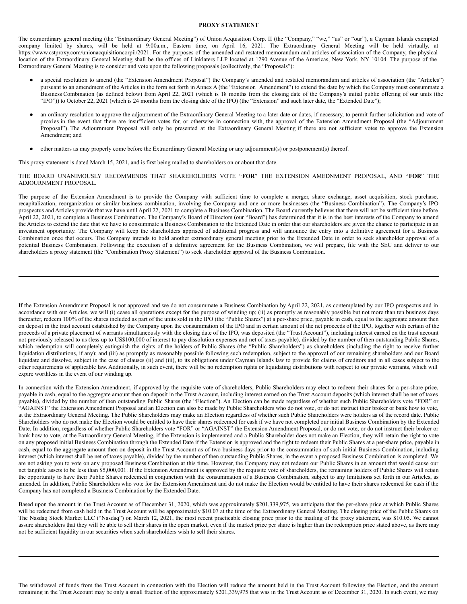#### **PROXY STATEMENT**

The extraordinary general meeting (the "Extraordinary General Meeting") of Union Acquisition Corp. II (the "Company," "we," "us" or "our"), a Cayman Islands exempted company limited by shares, will be held at 9:00a.m., Eastern time, on April 16, 2021. The Extraordinary General Meeting will be held virtually, at https://www.cstproxy.com/unionacquisitioncorpii/2021. For the purposes of the amended and restated memorandum and articles of association of the Company, the physical location of the Extraordinary General Meeting shall be the offices of Linklaters LLP located at 1290 Avenue of the Americas, New York, NY 10104. The purpose of the Extraordinary General Meeting is to consider and vote upon the following proposals (collectively, the "Proposals"):

- a special resolution to amend (the "Extension Amendment Proposal") the Company's amended and restated memorandum and articles of association (the "Articles") pursuant to an amendment of the Articles in the form set forth in Annex A (the "Extension Amendment") to extend the date by which the Company must consummate a Business Combination (as defined below) from April 22, 2021 (which is 18 months from the closing date of the Company's initial public offering of our units (the "IPO")) to October 22, 2021 (which is 24 months from the closing date of the IPO) (the "Extension" and such later date, the "Extended Date");
- an ordinary resolution to approve the adjournment of the Extraordinary General Meeting to a later date or dates, if necessary, to permit further solicitation and vote of proxies in the event that there are insufficient votes for, or otherwise in connection with, the approval of the Extension Amendment Proposal (the "Adjournment Proposal"). The Adjournment Proposal will only be presented at the Extraordinary General Meeting if there are not sufficient votes to approve the Extension Amendment; and
- other matters as may properly come before the Extraordinary General Meeting or any adjournment(s) or postponement(s) thereof.

This proxy statement is dated March 15, 2021, and is first being mailed to shareholders on or about that date.

THE BOARD UNANIMOUSLY RECOMMENDS THAT SHAREHOLDERS VOTE "**FOR**" THE EXTENSION AMEDNMENT PROPOSAL, AND "**FOR**" THE ADJOURNMENT PROPOSAL.

The purpose of the Extension Amendment is to provide the Company with sufficient time to complete a merger, share exchange, asset acquisition, stock purchase, recapitalization, reorganization or similar business combination, involving the Company and one or more businesses (the "Business Combination"). The Company's IPO prospectus and Articles provide that we have until April 22, 2021 to complete a Business Combination. The Board currently believes that there will not be sufficient time before April 22, 2021, to complete a Business Combination. The Company's Board of Directors (our "Board") has determined that it is in the best interests of the Company to amend the Articles to extend the date that we have to consummate a Business Combination to the Extended Date in order that our shareholders are given the chance to participate in an investment opportunity. The Company will keep the shareholders apprised of additional progress and will announce the entry into a definitive agreement for a Business Combination once that occurs. The Company intends to hold another extraordinary general meeting prior to the Extended Date in order to seek shareholder approval of a potential Business Combination. Following the execution of a definitive agreement for the Business Combination, we will prepare, file with the SEC and deliver to our shareholders a proxy statement (the "Combination Proxy Statement") to seek shareholder approval of the Business Combination.

If the Extension Amendment Proposal is not approved and we do not consummate a Business Combination by April 22, 2021, as contemplated by our IPO prospectus and in accordance with our Articles, we will (i) cease all operations except for the purpose of winding up; (ii) as promptly as reasonably possible but not more than ten business days thereafter, redeem 100% of the shares included as part of the units sold in the IPO (the "Public Shares") at a per-share price, payable in cash, equal to the aggregate amount then on deposit in the trust account established by the Company upon the consummation of the IPO and in certain amount of the net proceeds of the IPO, together with certain of the proceeds of a private placement of warrants simultaneously with the closing date of the IPO, was deposited (the "Trust Account"), including interest earned on the trust account not previously released to us (less up to US\$100,000 of interest to pay dissolution expenses and net of taxes payable), divided by the number of then outstanding Public Shares, which redemption will completely extinguish the rights of the holders of Public Shares (the "Public Shareholders") as shareholders (including the right to receive further liquidation distributions, if any); and (iii) as promptly as reasonably possible following such redemption, subject to the approval of our remaining shareholders and our Board liquidate and dissolve, subject in the case of clauses (ii) and (iii), to its obligations under Cayman Islands law to provide for claims of creditors and in all cases subject to the other requirements of applicable law. Additionally, in such event, there will be no redemption rights or liquidating distributions with respect to our private warrants, which will expire worthless in the event of our winding up.

In connection with the Extension Amendment, if approved by the requisite vote of shareholders, Public Shareholders may elect to redeem their shares for a per-share price, payable in cash, equal to the aggregate amount then on deposit in the Trust Account, including interest earned on the Trust Account deposits (which interest shall be net of taxes payable), divided by the number of then outstanding Public Shares (the "Election"). An Election can be made regardless of whether such Public Shareholders vote "FOR" or "AGAINST" the Extension Amendment Proposal and an Election can also be made by Public Shareholders who do not vote, or do not instruct their broker or bank how to vote, at the Extraordinary General Meeting. The Public Shareholders may make an Election regardless of whether such Public Shareholders were holders as of the record date. Public Shareholders who do not make the Election would be entitled to have their shares redeemed for cash if we have not completed our initial Business Combination by the Extended Date. In addition, regardless of whether Public Shareholders vote "FOR" or "AGAINST" the Extension Amendment Proposal, or do not vote, or do not instruct their broker or bank how to vote, at the Extraordinary General Meeting, if the Extension is implemented and a Public Shareholder does not make an Election, they will retain the right to vote on any proposed initial Business Combination through the Extended Date if the Extension is approved and the right to redeem their Public Shares at a per-share price, payable in cash, equal to the aggregate amount then on deposit in the Trust Account as of two business days prior to the consummation of such initial Business Combination, including interest (which interest shall be net of taxes payable), divided by the number of then outstanding Public Shares, in the event a proposed Business Combination is completed. We are not asking you to vote on any proposed Business Combination at this time. However, the Company may not redeem our Public Shares in an amount that would cause our net tangible assets to be less than \$5,000,001. If the Extension Amendment is approved by the requisite vote of shareholders, the remaining holders of Public Shares will retain the opportunity to have their Public Shares redeemed in conjunction with the consummation of a Business Combination, subject to any limitations set forth in our Articles, as amended. In addition, Public Shareholders who vote for the Extension Amendment and do not make the Election would be entitled to have their shares redeemed for cash if the Company has not completed a Business Combination by the Extended Date.

Based upon the amount in the Trust Account as of December 31, 2020, which was approximately \$201,339,975, we anticipate that the per-share price at which Public Shares will be redeemed from cash held in the Trust Account will be approximately \$10.07 at the time of the Extraordinary General Meeting. The closing price of the Public Shares on The Nasdaq Stock Market LLC ("Nasdaq") on March 12, 2021, the most recent practicable closing price prior to the mailing of the proxy statement, was \$10.05. We cannot assure shareholders that they will be able to sell their shares in the open market, even if the market price per share is higher than the redemption price stated above, as there may not be sufficient liquidity in our securities when such shareholders wish to sell their shares.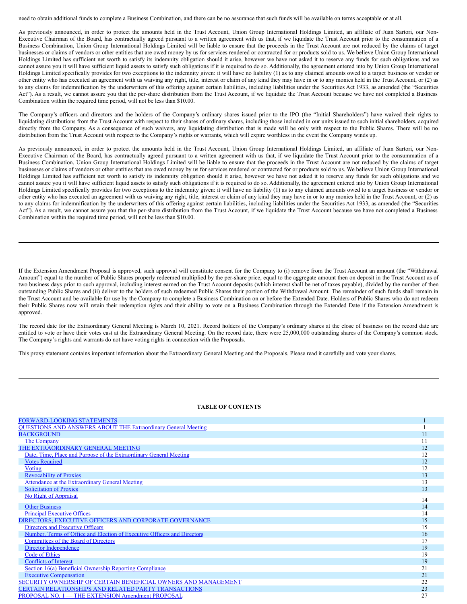need to obtain additional funds to complete a Business Combination, and there can be no assurance that such funds will be available on terms acceptable or at all.

As previously announced, in order to protect the amounts held in the Trust Account, Union Group International Holdings Limited, an affiliate of Juan Sartori, our Non-Executive Chairman of the Board, has contractually agreed pursuant to a written agreement with us that, if we liquidate the Trust Account prior to the consummation of a Business Combination, Union Group International Holdings Limited will be liable to ensure that the proceeds in the Trust Account are not reduced by the claims of target businesses or claims of vendors or other entities that are owed money by us for services rendered or contracted for or products sold to us. We believe Union Group International Holdings Limited has sufficient net worth to satisfy its indemnity obligation should it arise, however we have not asked it to reserve any funds for such obligations and we cannot assure you it will have sufficient liquid assets to satisfy such obligations if it is required to do so. Additionally, the agreement entered into by Union Group International Holdings Limited specifically provides for two exceptions to the indemnity given: it will have no liability (1) as to any claimed amounts owed to a target business or vendor or other entity who has executed an agreement with us waiving any right, title, interest or claim of any kind they may have in or to any monies held in the Trust Account, or (2) as to any claims for indemnification by the underwriters of this offering against certain liabilities, including liabilities under the Securities Act 1933, as amended (the "Securities Act"). As a result, we cannot assure you that the per-share distribution from the Trust Account, if we liquidate the Trust Account because we have not completed a Business Combination within the required time period, will not be less than \$10.00.

The Company's officers and directors and the holders of the Company's ordinary shares issued prior to the IPO (the "Initial Shareholders") have waived their rights to liquidating distributions from the Trust Account with respect to their shares of ordinary shares, including those included in our units issued to such initial shareholders, acquired directly from the Company. As a consequence of such waivers, any liquidating distribution that is made will be only with respect to the Public Shares. There will be no distribution from the Trust Account with respect to the Company's rights or warrants, which will expire worthless in the event the Company winds up.

As previously announced, in order to protect the amounts held in the Trust Account, Union Group International Holdings Limited, an affiliate of Juan Sartori, our Non-Executive Chairman of the Board, has contractually agreed pursuant to a written agreement with us that, if we liquidate the Trust Account prior to the consummation of a Business Combination, Union Group International Holdings Limited will be liable to ensure that the proceeds in the Trust Account are not reduced by the claims of target businesses or claims of vendors or other entities that are owed money by us for services rendered or contracted for or products sold to us. We believe Union Group International Holdings Limited has sufficient net worth to satisfy its indemnity obligation should it arise, however we have not asked it to reserve any funds for such obligations and we cannot assure you it will have sufficient liquid assets to satisfy such obligations if it is required to do so. Additionally, the agreement entered into by Union Group International Holdings Limited specifically provides for two exceptions to the indemnity given: it will have no liability (1) as to any claimed amounts owed to a target business or vendor or other entity who has executed an agreement with us waiving any right, title, interest or claim of any kind they may have in or to any monies held in the Trust Account, or (2) as to any claims for indemnification by the underwriters of this offering against certain liabilities, including liabilities under the Securities Act 1933, as amended (the "Securities Act"). As a result, we cannot assure you that the per-share distribution from the Trust Account, if we liquidate the Trust Account because we have not completed a Business Combination within the required time period, will not be less than \$10.00.

If the Extension Amendment Proposal is approved, such approval will constitute consent for the Company to (i) remove from the Trust Account an amount (the "Withdrawal Amount") equal to the number of Public Shares properly redeemed multiplied by the per-share price, equal to the aggregate amount then on deposit in the Trust Account as of two business days prior to such approval, including interest earned on the Trust Account deposits (which interest shall be net of taxes payable), divided by the number of then outstanding Public Shares and (ii) deliver to the holders of such redeemed Public Shares their portion of the Withdrawal Amount. The remainder of such funds shall remain in the Trust Account and be available for use by the Company to complete a Business Combination on or before the Extended Date. Holders of Public Shares who do not redeem their Public Shares now will retain their redemption rights and their ability to vote on a Business Combination through the Extended Date if the Extension Amendment is approved.

The record date for the Extraordinary General Meeting is March 10, 2021. Record holders of the Company's ordinary shares at the close of business on the record date are entitled to vote or have their votes cast at the Extraordinary General Meeting. On the record date, there were 25,000,000 outstanding shares of the Company's common stock. The Company's rights and warrants do not have voting rights in connection with the Proposals.

This proxy statement contains important information about the Extraordinary General Meeting and the Proposals. Please read it carefully and vote your shares.

# **TABLE OF CONTENTS**

| <b>FORWARD-LOOKING STATEMENTS</b>                                        |    |
|--------------------------------------------------------------------------|----|
| <b>QUESTIONS AND ANSWERS ABOUT THE Extraordinary General Meeting</b>     |    |
| <b>BACKGROUND</b>                                                        | 11 |
| The Company                                                              | 11 |
| THE EXTRAORDINARY GENERAL MEETING                                        | 12 |
| Date, Time, Place and Purpose of the Extraordinary General Meeting       | 12 |
| <b>Votes Required</b>                                                    | 12 |
| <b>Voting</b>                                                            | 12 |
| <b>Revocability of Proxies</b>                                           | 13 |
| Attendance at the Extraordinary General Meeting                          | 13 |
| <b>Solicitation of Proxies</b>                                           | 13 |
| <b>No Right of Appraisal</b>                                             | 14 |
| <b>Other Business</b>                                                    | 14 |
| <b>Principal Executive Offices</b>                                       | 14 |
| DIRECTORS, EXECUTIVE OFFICERS AND CORPORATE GOVERNANCE                   | 15 |
| Directors and Executive Officers                                         | 15 |
| Number, Terms of Office and Election of Executive Officers and Directors | 16 |
| Committees of the Board of Directors                                     | 17 |
| Director Independence                                                    | 19 |
| <b>Code of Ethics</b>                                                    | 19 |
| <b>Conflicts of Interest</b>                                             | 19 |
| Section 16(a) Beneficial Ownership Reporting Compliance                  | 21 |
| <b>Executive Compensation</b>                                            | 21 |
| SECURITY OWNERSHIP OF CERTAIN BENEFICIAL OWNERS AND MANAGEMENT           | 22 |
| <b>CERTAIN RELATIONSHIPS AND RELATED PARTY TRANSACTIONS</b>              | 23 |
| PROPOSAL NO. 1 - THE EXTENSION Amendment PROPOSAL                        | 27 |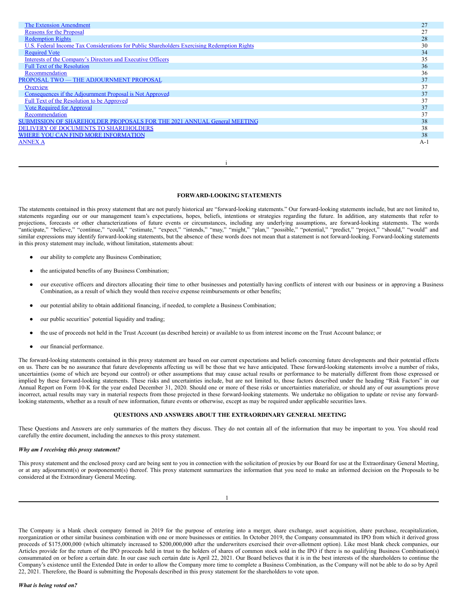| The Extension Amendment                                                                     | 27    |
|---------------------------------------------------------------------------------------------|-------|
| Reasons for the Proposal                                                                    | 27    |
| <b>Redemption Rights</b>                                                                    | 28    |
| U.S. Federal Income Tax Considerations for Public Shareholders Exercising Redemption Rights | 30    |
| <b>Required Vote</b>                                                                        | 34    |
| Interests of the Company's Directors and Executive Officers                                 | 35    |
| <b>Full Text of the Resolution</b>                                                          | 36    |
| Recommendation                                                                              | 36    |
| PROPOSAL TWO - THE ADJOURNMENT PROPOSAL                                                     | 37    |
| Overview                                                                                    | 37    |
| Consequences if the Adjournment Proposal is Not Approved                                    | 37    |
| Full Text of the Resolution to be Approved                                                  | 37    |
| <b>Vote Required for Approval</b>                                                           | 37    |
| Recommendation                                                                              | 37    |
| SUBMISSION OF SHAREHOLDER PROPOSALS FOR THE 2021 ANNUAL General MEETING                     | 38    |
| DELIVERY OF DOCUMENTS TO SHAREHOLDERS                                                       | 38    |
| WHERE YOU CAN FIND MORE INFORMATION                                                         | 38    |
| <b>ANNEX A</b>                                                                              | $A-1$ |
|                                                                                             |       |

#### i

#### <span id="page-5-0"></span>**FORWARD-LOOKING STATEMENTS**

The statements contained in this proxy statement that are not purely historical are "forward-looking statements." Our forward-looking statements include, but are not limited to, statements regarding our or our management team's expectations, hopes, beliefs, intentions or strategies regarding the future. In addition, any statements that refer to projections, forecasts or other characterizations of future events or circumstances, including any underlying assumptions, are forward-looking statements. The words "anticipate," "believe," "continue," "could," "estimate," "expect," "intends," "may," "might," "plan," "possible," "potential," "predict," "project," "should," "would" and similar expressions may identify forward-looking statements, but the absence of these words does not mean that a statement is not forward-looking. Forward-looking statements in this proxy statement may include, without limitation, statements about:

- our ability to complete any Business Combination;
- the anticipated benefits of any Business Combination;
- our executive officers and directors allocating their time to other businesses and potentially having conflicts of interest with our business or in approving a Business Combination, as a result of which they would then receive expense reimbursements or other benefits;
- our potential ability to obtain additional financing, if needed, to complete a Business Combination;
- our public securities' potential liquidity and trading;
- the use of proceeds not held in the Trust Account (as described herein) or available to us from interest income on the Trust Account balance; or
- our financial performance.

The forward-looking statements contained in this proxy statement are based on our current expectations and beliefs concerning future developments and their potential effects on us. There can be no assurance that future developments affecting us will be those that we have anticipated. These forward-looking statements involve a number of risks, uncertainties (some of which are beyond our control) or other assumptions that may cause actual results or performance to be materially different from those expressed or implied by these forward-looking statements. These risks and uncertainties include, but are not limited to, those factors described under the heading "Risk Factors" in our Annual Report on Form 10-K for the year ended December 31, 2020. Should one or more of these risks or uncertainties materialize, or should any of our assumptions prove incorrect, actual results may vary in material respects from those projected in these forward-looking statements. We undertake no obligation to update or revise any forwardlooking statements, whether as a result of new information, future events or otherwise, except as may be required under applicable securities laws.

# <span id="page-5-1"></span>**QUESTIONS AND ANSWERS ABOUT THE EXTRAORDINARY GENERAL MEETING**

These Questions and Answers are only summaries of the matters they discuss. They do not contain all of the information that may be important to you. You should read carefully the entire document, including the annexes to this proxy statement.

# *Why am I receiving this proxy statement?*

This proxy statement and the enclosed proxy card are being sent to you in connection with the solicitation of proxies by our Board for use at the Extraordinary General Meeting, or at any adjournment(s) or postponement(s) thereof. This proxy statement summarizes the information that you need to make an informed decision on the Proposals to be considered at the Extraordinary General Meeting.

The Company is a blank check company formed in 2019 for the purpose of entering into a merger, share exchange, asset acquisition, share purchase, recapitalization, reorganization or other similar business combination with one or more businesses or entities. In October 2019, the Company consummated its IPO from which it derived gross proceeds of \$175,000,000 (which ultimately increased to \$200,000,000 after the underwriters exercised their over-allotment option). Like most blank check companies, our Articles provide for the return of the IPO proceeds held in trust to the holders of shares of common stock sold in the IPO if there is no qualifying Business Combination(s) consummated on or before a certain date. In our case such certain date is April 22, 2021. Our Board believes that it is in the best interests of the shareholders to continue the Company's existence until the Extended Date in order to allow the Company more time to complete a Business Combination, as the Company will not be able to do so by April 22, 2021. Therefore, the Board is submitting the Proposals described in this proxy statement for the shareholders to vote upon.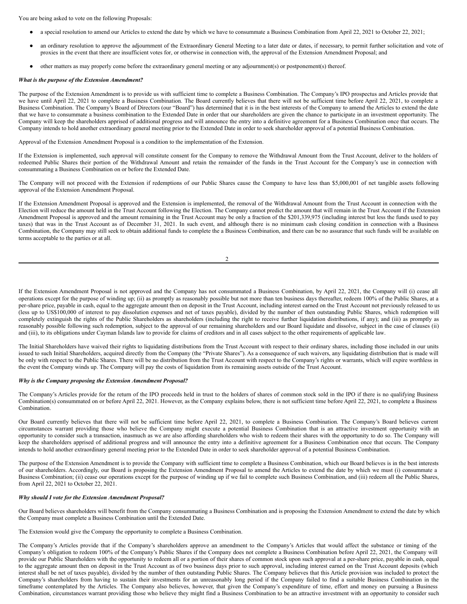You are being asked to vote on the following Proposals:

- a special resolution to amend our Articles to extend the date by which we have to consummate a Business Combination from April 22, 2021 to October 22, 2021;
- an ordinary resolution to approve the adjournment of the Extraordinary General Meeting to a later date or dates, if necessary, to permit further solicitation and vote of proxies in the event that there are insufficient votes for, or otherwise in connection with, the approval of the Extension Amendment Proposal; and
- other matters as may properly come before the extraordinary general meeting or any adjournment(s) or postponement(s) thereof.

#### *What is the purpose of the Extension Amendment?*

The purpose of the Extension Amendment is to provide us with sufficient time to complete a Business Combination. The Company's IPO prospectus and Articles provide that we have until April 22, 2021 to complete a Business Combination. The Board currently believes that there will not be sufficient time before April 22, 2021, to complete a Business Combination. The Company's Board of Directors (our "Board") has determined that it is in the best interests of the Company to amend the Articles to extend the date that we have to consummate a business combination to the Extended Date in order that our shareholders are given the chance to participate in an investment opportunity. The Company will keep the shareholders apprised of additional progress and will announce the entry into a definitive agreement for a Business Combination once that occurs. The Company intends to hold another extraordinary general meeting prior to the Extended Date in order to seek shareholder approval of a potential Business Combination.

Approval of the Extension Amendment Proposal is a condition to the implementation of the Extension.

If the Extension is implemented, such approval will constitute consent for the Company to remove the Withdrawal Amount from the Trust Account, deliver to the holders of redeemed Public Shares their portion of the Withdrawal Amount and retain the remainder of the funds in the Trust Account for the Company's use in connection with consummating a Business Combination on or before the Extended Date.

The Company will not proceed with the Extension if redemptions of our Public Shares cause the Company to have less than \$5,000,001 of net tangible assets following approval of the Extension Amendment Proposal.

If the Extension Amendment Proposal is approved and the Extension is implemented, the removal of the Withdrawal Amount from the Trust Account in connection with the Election will reduce the amount held in the Trust Account following the Election. The Company cannot predict the amount that will remain in the Trust Account if the Extension Amendment Proposal is approved and the amount remaining in the Trust Account may be only a fraction of the \$201,339,975 (including interest but less the funds used to pay taxes) that was in the Trust Account as of December 31, 2021. In such event, and although there is no minimum cash closing condition in connection with a Business Combination, the Company may still seek to obtain additional funds to complete the a Business Combination, and there can be no assurance that such funds will be available on terms acceptable to the parties or at all.

 $\gamma$ 

If the Extension Amendment Proposal is not approved and the Company has not consummated a Business Combination, by April 22, 2021, the Company will (i) cease all operations except for the purpose of winding up; (ii) as promptly as reasonably possible but not more than ten business days thereafter, redeem 100% of the Public Shares, at a per-share price, payable in cash, equal to the aggregate amount then on deposit in the Trust Account, including interest earned on the Trust Account not previously released to us (less up to US\$100,000 of interest to pay dissolution expenses and net of taxes payable), divided by the number of then outstanding Public Shares, which redemption will completely extinguish the rights of the Public Shareholders as shareholders (including the right to receive further liquidation distributions, if any); and (iii) as promptly as reasonably possible following such redemption, subject to the approval of our remaining shareholders and our Board liquidate and dissolve, subject in the case of clauses (ii) and (iii), to its obligations under Cayman Islands law to provide for claims of creditors and in all cases subject to the other requirements of applicable law.

The Initial Shareholders have waived their rights to liquidating distributions from the Trust Account with respect to their ordinary shares, including those included in our units issued to such Initial Shareholders, acquired directly from the Company (the "Private Shares"). As a consequence of such waivers, any liquidating distribution that is made will be only with respect to the Public Shares. There will be no distribution from the Trust Account with respect to the Company's rights or warrants, which will expire worthless in the event the Company winds up. The Company will pay the costs of liquidation from its remaining assets outside of the Trust Account.

# *Why is the Company proposing the Extension Amendment Proposal?*

The Company's Articles provide for the return of the IPO proceeds held in trust to the holders of shares of common stock sold in the IPO if there is no qualifying Business Combination(s) consummated on or before April 22, 2021. However, as the Company explains below, there is not sufficient time before April 22, 2021, to complete a Business Combination.

Our Board currently believes that there will not be sufficient time before April 22, 2021, to complete a Business Combination. The Company's Board believes current circumstances warrant providing those who believe the Company might execute a potential Business Combination that is an attractive investment opportunity with an opportunity to consider such a transaction, inasmuch as we are also affording shareholders who wish to redeem their shares with the opportunity to do so. The Company will keep the shareholders apprised of additional progress and will announce the entry into a definitive agreement for a Business Combination once that occurs. The Company intends to hold another extraordinary general meeting prior to the Extended Date in order to seek shareholder approval of a potential Business Combination.

The purpose of the Extension Amendment is to provide the Company with sufficient time to complete a Business Combination, which our Board believes is in the best interests of our shareholders. Accordingly, our Board is proposing the Extension Amendment Proposal to amend the Articles to extend the date by which we must (i) consummate a Business Combination; (ii) cease our operations except for the purpose of winding up if we fail to complete such Business Combination, and (iii) redeem all the Public Shares, from April 22, 2021 to October 22, 2021.

#### *Why should I vote for the Extension Amendment Proposal?*

Our Board believes shareholders will benefit from the Company consummating a Business Combination and is proposing the Extension Amendment to extend the date by which the Company must complete a Business Combination until the Extended Date.

The Extension would give the Company the opportunity to complete a Business Combination.

The Company's Articles provide that if the Company's shareholders approve an amendment to the Company's Articles that would affect the substance or timing of the Company's obligation to redeem 100% of the Company's Public Shares if the Company does not complete a Business Combination before April 22, 2021, the Company will provide our Public Shareholders with the opportunity to redeem all or a portion of their shares of common stock upon such approval at a per-share price, payable in cash, equal to the aggregate amount then on deposit in the Trust Account as of two business days prior to such approval, including interest earned on the Trust Account deposits (which interest shall be net of taxes payable), divided by the number of then outstanding Public Shares. The Company believes that this Article provision was included to protect the Company's shareholders from having to sustain their investments for an unreasonably long period if the Company failed to find a suitable Business Combination in the timeframe contemplated by the Articles. The Company also believes, however, that given the Company's expenditure of time, effort and money on pursuing a Business Combination, circumstances warrant providing those who believe they might find a Business Combination to be an attractive investment with an opportunity to consider such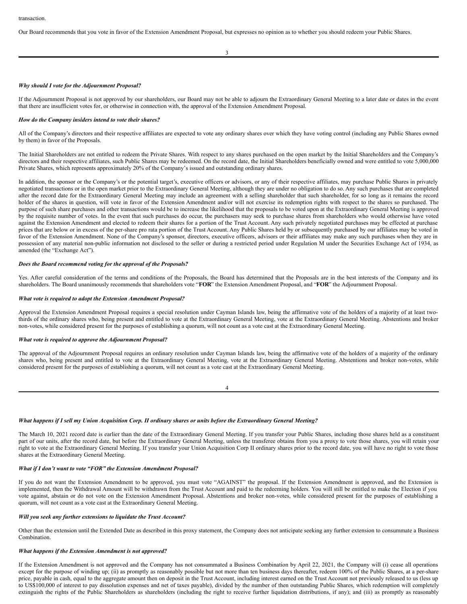Our Board recommends that you vote in favor of the Extension Amendment Proposal, but expresses no opinion as to whether you should redeem your Public Shares.

3

#### *Why should I vote for the Adjournment Proposal?*

If the Adjournment Proposal is not approved by our shareholders, our Board may not be able to adjourn the Extraordinary General Meeting to a later date or dates in the event that there are insufficient votes for, or otherwise in connection with, the approval of the Extension Amendment Proposal.

#### *How do the Company insiders intend to vote their shares?*

All of the Company's directors and their respective affiliates are expected to vote any ordinary shares over which they have voting control (including any Public Shares owned by them) in favor of the Proposals.

The Initial Shareholders are not entitled to redeem the Private Shares. With respect to any shares purchased on the open market by the Initial Shareholders and the Company's directors and their respective affiliates, such Public Shares may be redeemed. On the record date, the Initial Shareholders beneficially owned and were entitled to vote 5,000,000 Private Shares, which represents approximately 20% of the Company's issued and outstanding ordinary shares.

In addition, the sponsor or the Company's or the potential target's, executive officers or advisors, or any of their respective affiliates, may purchase Public Shares in privately negotiated transactions or in the open market prior to the Extraordinary General Meeting, although they are under no obligation to do so. Any such purchases that are completed after the record date for the Extraordinary General Meeting may include an agreement with a selling shareholder that such shareholder, for so long as it remains the record holder of the shares in question, will vote in favor of the Extension Amendment and/or will not exercise its redemption rights with respect to the shares so purchased. The purpose of such share purchases and other transactions would be to increase the likelihood that the proposals to be voted upon at the Extraordinary General Meeting is approved by the requisite number of votes. In the event that such purchases do occur, the purchasers may seek to purchase shares from shareholders who would otherwise have voted against the Extension Amendment and elected to redeem their shares for a portion of the Trust Account. Any such privately negotiated purchases may be effected at purchase prices that are below or in excess of the per-share pro rata portion of the Trust Account. Any Public Shares held by or subsequently purchased by our affiliates may be voted in favor of the Extension Amendment. None of the Company's sponsor, directors, executive officers, advisors or their affiliates may make any such purchases when they are in possession of any material non-public information not disclosed to the seller or during a restricted period under Regulation M under the Securities Exchange Act of 1934, as amended (the "Exchange Act").

## *Does the Board recommend voting for the approval of the Proposals?*

Yes. After careful consideration of the terms and conditions of the Proposals, the Board has determined that the Proposals are in the best interests of the Company and its shareholders. The Board unanimously recommends that shareholders vote "**FOR**" the Extension Amendment Proposal, and "**FOR**" the Adjournment Proposal.

#### *What vote is required to adopt the Extension Amendment Proposal?*

Approval the Extension Amendment Proposal requires a special resolution under Cayman Islands law, being the affirmative vote of the holders of a majority of at least twothirds of the ordinary shares who, being present and entitled to vote at the Extraordinary General Meeting, vote at the Extraordinary General Meeting. Abstentions and broker non-votes, while considered present for the purposes of establishing a quorum, will not count as a vote cast at the Extraordinary General Meeting.

#### *What vote is required to approve the Adjournment Proposal?*

The approval of the Adjournment Proposal requires an ordinary resolution under Cayman Islands law, being the affirmative vote of the holders of a majority of the ordinary shares who, being present and entitled to vote at the Extraordinary General Meeting, vote at the Extraordinary General Meeting. Abstentions and broker non-votes, while considered present for the purposes of establishing a quorum, will not count as a vote cast at the Extraordinary General Meeting.

# What happens if I sell my Union Acquisition Corp. II ordinary shares or units before the Extraordinary General Meeting?

The March 10, 2021 record date is earlier than the date of the Extraordinary General Meeting. If you transfer your Public Shares, including those shares held as a constituent part of our units, after the record date, but before the Extraordinary General Meeting, unless the transferee obtains from you a proxy to vote those shares, you will retain your right to vote at the Extraordinary General Meeting. If you transfer your Union Acquisition Corp II ordinary shares prior to the record date, you will have no right to vote those shares at the Extraordinary General Meeting.

# *What if I don't want to vote "FOR" the Extension Amendment Proposal?*

If you do not want the Extension Amendment to be approved, you must vote "AGAINST" the proposal. If the Extension Amendment is approved, and the Extension is implemented, then the Withdrawal Amount will be withdrawn from the Trust Account and paid to the redeeming holders. You will still be entitled to make the Election if you vote against, abstain or do not vote on the Extension Amendment Proposal. Abstentions and broker non-votes, while considered present for the purposes of establishing a quorum, will not count as a vote cast at the Extraordinary General Meeting.

# *Will you seek any further extensions to liquidate the Trust Account?*

Other than the extension until the Extended Date as described in this proxy statement, the Company does not anticipate seeking any further extension to consummate a Business Combination.

# *What happens if the Extension Amendment is not approved?*

If the Extension Amendment is not approved and the Company has not consummated a Business Combination by April 22, 2021, the Company will (i) cease all operations except for the purpose of winding up; (ii) as promptly as reasonably possible but not more than ten business days thereafter, redeem 100% of the Public Shares, at a per-share price, payable in cash, equal to the aggregate amount then on deposit in the Trust Account, including interest earned on the Trust Account not previously released to us (less up to US\$100,000 of interest to pay dissolution expenses and net of taxes payable), divided by the number of then outstanding Public Shares, which redemption will completely extinguish the rights of the Public Shareholders as shareholders (including the right to receive further liquidation distributions, if any); and (iii) as promptly as reasonably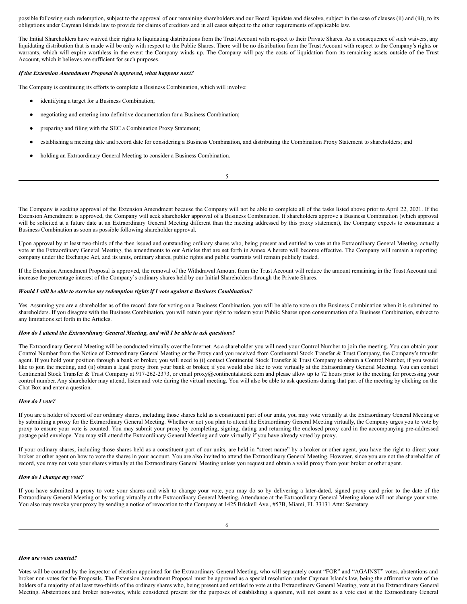possible following such redemption, subject to the approval of our remaining shareholders and our Board liquidate and dissolve, subject in the case of clauses (ii) and (iii), to its obligations under Cayman Islands law to provide for claims of creditors and in all cases subject to the other requirements of applicable law.

The Initial Shareholders have waived their rights to liquidating distributions from the Trust Account with respect to their Private Shares. As a consequence of such waivers, any liquidating distribution that is made will be only with respect to the Public Shares. There will be no distribution from the Trust Account with respect to the Company's rights or warrants, which will expire worthless in the event the Company winds up. The Company will pay the costs of liquidation from its remaining assets outside of the Trust Account, which it believes are sufficient for such purposes.

#### *If the Extension Amendment Proposal is approved, what happens next?*

The Company is continuing its efforts to complete a Business Combination, which will involve:

- identifying a target for a Business Combination;
- negotiating and entering into definitive documentation for a Business Combination;
- preparing and filing with the SEC a Combination Proxy Statement;
- establishing a meeting date and record date for considering a Business Combination, and distributing the Combination Proxy Statement to shareholders; and
- holding an Extraordinary General Meeting to consider a Business Combination.

5

The Company is seeking approval of the Extension Amendment because the Company will not be able to complete all of the tasks listed above prior to April 22, 2021. If the Extension Amendment is approved, the Company will seek shareholder approval of a Business Combination. If shareholders approve a Business Combination (which approval will be solicited at a future date at an Extraordinary General Meeting different than the meeting addressed by this proxy statement), the Company expects to consummate a Business Combination as soon as possible following shareholder approval.

Upon approval by at least two-thirds of the then issued and outstanding ordinary shares who, being present and entitled to vote at the Extraordinary General Meeting, actually vote at the Extraordinary General Meeting, the amendments to our Articles that are set forth in Annex A hereto will become effective. The Company will remain a reporting company under the Exchange Act, and its units, ordinary shares, public rights and public warrants will remain publicly traded.

If the Extension Amendment Proposal is approved, the removal of the Withdrawal Amount from the Trust Account will reduce the amount remaining in the Trust Account and increase the percentage interest of the Company's ordinary shares held by our Initial Shareholders through the Private Shares.

#### *Would I still be able to exercise my redemption rights if I vote against a Business Combination?*

Yes. Assuming you are a shareholder as of the record date for voting on a Business Combination, you will be able to vote on the Business Combination when it is submitted to shareholders. If you disagree with the Business Combination, you will retain your right to redeem your Public Shares upon consummation of a Business Combination, subject to any limitations set forth in the Articles.

# *How do I attend the Extraordinary General Meeting, and will I be able to ask questions?*

The Extraordinary General Meeting will be conducted virtually over the Internet. As a shareholder you will need your Control Number to join the meeting. You can obtain your Control Number from the Notice of Extraordinary General Meeting or the Proxy card you received from Continental Stock Transfer & Trust Company, the Company's transfer agent. If you hold your position through a bank or broker, you will need to (i) contact Continental Stock Transfer & Trust Company to obtain a Control Number, if you would like to join the meeting, and (ii) obtain a legal proxy from your bank or broker, if you would also like to vote virtually at the Extraordinary General Meeting. You can contact Continental Stock Transfer & Trust Company at 917-262-2373, or email proxy@continentalstock.com and please allow up to 72 hours prior to the meeting for processing your control number. Any shareholder may attend, listen and vote during the virtual meeting. You will also be able to ask questions during that part of the meeting by clicking on the Chat Box and enter a question.

#### *How do I vote?*

If you are a holder of record of our ordinary shares, including those shares held as a constituent part of our units, you may vote virtually at the Extraordinary General Meeting or by submitting a proxy for the Extraordinary General Meeting. Whether or not you plan to attend the Extraordinary General Meeting virtually, the Company urges you to vote by proxy to ensure your vote is counted. You may submit your proxy by completing, signing, dating and returning the enclosed proxy card in the accompanying pre-addressed postage paid envelope. You may still attend the Extraordinary General Meeting and vote virtually if you have already voted by proxy.

If your ordinary shares, including those shares held as a constituent part of our units, are held in "street name" by a broker or other agent, you have the right to direct your broker or other agent on how to vote the shares in your account. You are also invited to attend the Extraordinary General Meeting. However, since you are not the shareholder of record, you may not vote your shares virtually at the Extraordinary General Meeting unless you request and obtain a valid proxy from your broker or other agent.

# *How do I change my vote?*

If you have submitted a proxy to vote your shares and wish to change your vote, you may do so by delivering a later-dated, signed proxy card prior to the date of the Extraordinary General Meeting or by voting virtually at the Extraordinary General Meeting. Attendance at the Extraordinary General Meeting alone will not change your vote. You also may revoke your proxy by sending a notice of revocation to the Company at 1425 Brickell Ave., #57B, Miami, FL 33131 Attn: Secretary.

# *How are votes counted?*

Votes will be counted by the inspector of election appointed for the Extraordinary General Meeting, who will separately count "FOR" and "AGAINST" votes, abstentions and broker non-votes for the Proposals. The Extension Amendment Proposal must be approved as a special resolution under Cayman Islands law, being the affirmative vote of the holders of a majority of at least two-thirds of the ordinary shares who, being present and entitled to vote at the Extraordinary General Meeting, vote at the Extraordinary General Meeting. Abstentions and broker non-votes, while considered present for the purposes of establishing a quorum, will not count as a vote cast at the Extraordinary General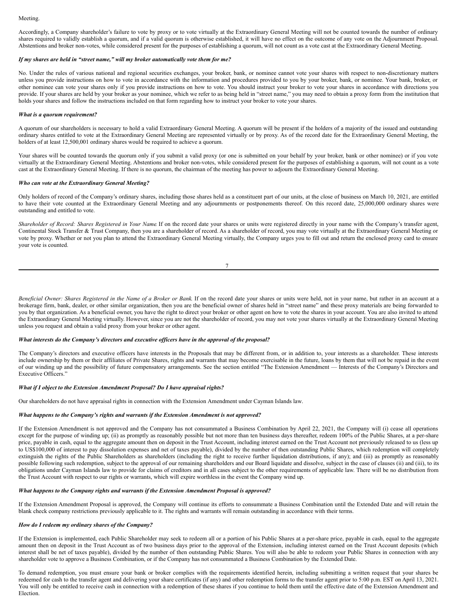Accordingly, a Company shareholder's failure to vote by proxy or to vote virtually at the Extraordinary General Meeting will not be counted towards the number of ordinary shares required to validly establish a quorum, and if a valid quorum is otherwise established, it will have no effect on the outcome of any vote on the Adjournment Proposal. Abstentions and broker non-votes, while considered present for the purposes of establishing a quorum, will not count as a vote cast at the Extraordinary General Meeting.

#### *If my shares are held in "street name," will my broker automatically vote them for me?*

No. Under the rules of various national and regional securities exchanges, your broker, bank, or nominee cannot vote your shares with respect to non-discretionary matters unless you provide instructions on how to vote in accordance with the information and procedures provided to you by your broker, bank, or nominee. Your bank, broker, or other nominee can vote your shares only if you provide instructions on how to vote. You should instruct your broker to vote your shares in accordance with directions you provide. If your shares are held by your broker as your nominee, which we refer to as being held in "street name," you may need to obtain a proxy form from the institution that holds your shares and follow the instructions included on that form regarding how to instruct your broker to vote your shares.

#### *What is a quorum requirement?*

A quorum of our shareholders is necessary to hold a valid Extraordinary General Meeting. A quorum will be present if the holders of a majority of the issued and outstanding ordinary shares entitled to vote at the Extraordinary General Meeting are represented virtually or by proxy. As of the record date for the Extraordinary General Meeting, the holders of at least 12,500,001 ordinary shares would be required to achieve a quorum.

Your shares will be counted towards the quorum only if you submit a valid proxy (or one is submitted on your behalf by your broker, bank or other nominee) or if you vote virtually at the Extraordinary General Meeting. Abstentions and broker non-votes, while considered present for the purposes of establishing a quorum, will not count as a vote cast at the Extraordinary General Meeting. If there is no quorum, the chairman of the meeting has power to adjourn the Extraordinary General Meeting.

# *Who can vote at the Extraordinary General Meeting?*

Only holders of record of the Company's ordinary shares, including those shares held as a constituent part of our units, at the close of business on March 10, 2021, are entitled to have their vote counted at the Extraordinary General Meeting and any adjournments or postponements thereof. On this record date, 25,000,000 ordinary shares were outstanding and entitled to vote.

Shareholder of Record: Shares Registered in Your Name If on the record date your shares or units were registered directly in your name with the Company's transfer agent, Continental Stock Transfer & Trust Company, then you are a shareholder of record. As a shareholder of record, you may vote virtually at the Extraordinary General Meeting or vote by proxy. Whether or not you plan to attend the Extraordinary General Meeting virtually, the Company urges you to fill out and return the enclosed proxy card to ensure your vote is counted.

| I |  |
|---|--|
|   |  |
|   |  |

Beneficial Owner: Shares Registered in the Name of a Broker or Bank. If on the record date your shares or units were held, not in your name, but rather in an account at a brokerage firm, bank, dealer, or other similar organization, then you are the beneficial owner of shares held in "street name" and these proxy materials are being forwarded to you by that organization. As a beneficial owner, you have the right to direct your broker or other agent on how to vote the shares in your account. You are also invited to attend the Extraordinary General Meeting virtually. However, since you are not the shareholder of record, you may not vote your shares virtually at the Extraordinary General Meeting unless you request and obtain a valid proxy from your broker or other agent.

#### *What interests do the Company's directors and executive of icers have in the approval of the proposal?*

The Company's directors and executive officers have interests in the Proposals that may be different from, or in addition to, your interests as a shareholder. These interests include ownership by them or their affiliates of Private Shares, rights and warrants that may become exercisable in the future, loans by them that will not be repaid in the event of our winding up and the possibility of future compensatory arrangements. See the section entitled "The Extension Amendment — Interests of the Company's Directors and Executive Officers."

# *What if I object to the Extension Amendment Proposal? Do I have appraisal rights?*

Our shareholders do not have appraisal rights in connection with the Extension Amendment under Cayman Islands law.

# *What happens to the Company's rights and warrants if the Extension Amendment is not approved?*

If the Extension Amendment is not approved and the Company has not consummated a Business Combination by April 22, 2021, the Company will (i) cease all operations except for the purpose of winding up; (ii) as promptly as reasonably possible but not more than ten business days thereafter, redeem 100% of the Public Shares, at a per-share price, payable in cash, equal to the aggregate amount then on deposit in the Trust Account, including interest earned on the Trust Account not previously released to us (less up to US\$100,000 of interest to pay dissolution expenses and net of taxes payable), divided by the number of then outstanding Public Shares, which redemption will completely extinguish the rights of the Public Shareholders as shareholders (including the right to receive further liquidation distributions, if any); and (iii) as promptly as reasonably possible following such redemption, subject to the approval of our remaining shareholders and our Board liquidate and dissolve, subject in the case of clauses (ii) and (iii), to its obligations under Cayman Islands law to provide for claims of creditors and in all cases subject to the other requirements of applicable law. There will be no distribution from the Trust Account with respect to our rights or warrants, which will expire worthless in the event the Company wind up.

#### *What happens to the Company rights and warrants if the Extension Amendment Proposal is approved?*

If the Extension Amendment Proposal is approved, the Company will continue its efforts to consummate a Business Combination until the Extended Date and will retain the blank check company restrictions previously applicable to it. The rights and warrants will remain outstanding in accordance with their terms.

# *How do I redeem my ordinary shares of the Company?*

If the Extension is implemented, each Public Shareholder may seek to redeem all or a portion of his Public Shares at a per-share price, payable in cash, equal to the aggregate amount then on deposit in the Trust Account as of two business days prior to the approval of the Extension, including interest earned on the Trust Account deposits (which interest shall be net of taxes payable), divided by the number of then outstanding Public Shares. You will also be able to redeem your Public Shares in connection with any shareholder vote to approve a Business Combination, or if the Company has not consummated a Business Combination by the Extended Date.

To demand redemption, you must ensure your bank or broker complies with the requirements identified herein, including submitting a written request that your shares be redeemed for cash to the transfer agent and delivering your share certificates (if any) and other redemption forms to the transfer agent prior to 5:00 p.m. EST on April 13, 2021. You will only be entitled to receive cash in connection with a redemption of these shares if you continue to hold them until the effective date of the Extension Amendment and Election.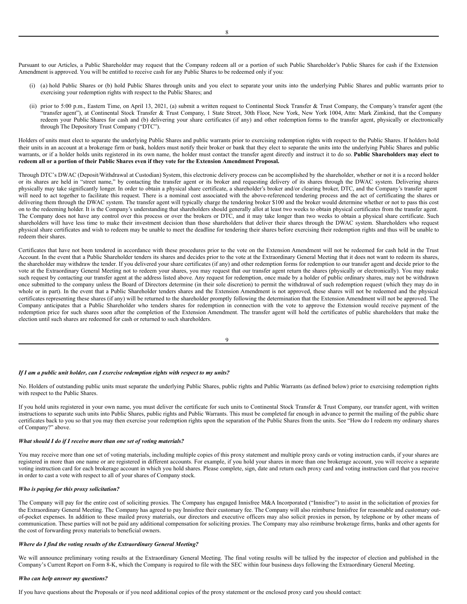Pursuant to our Articles, a Public Shareholder may request that the Company redeem all or a portion of such Public Shareholder's Public Shares for cash if the Extension Amendment is approved. You will be entitled to receive cash for any Public Shares to be redeemed only if you:

- (i) (a) hold Public Shares or (b) hold Public Shares through units and you elect to separate your units into the underlying Public Shares and public warrants prior to exercising your redemption rights with respect to the Public Shares; and
- (ii) prior to 5:00 p.m., Eastern Time, on April 13, 2021, (a) submit a written request to Continental Stock Transfer & Trust Company, the Company's transfer agent (the "transfer agent"), at Continental Stock Transfer & Trust Company, 1 State Street, 30th Floor, New York, New York 1004, Attn: Mark Zimkind, that the Company redeem your Public Shares for cash and (b) delivering your share certificates (if any) and other redemption forms to the transfer agent, physically or electronically through The Depository Trust Company ("DTC").

Holders of units must elect to separate the underlying Public Shares and public warrants prior to exercising redemption rights with respect to the Public Shares. If holders hold their units in an account at a brokerage firm or bank, holders must notify their broker or bank that they elect to separate the units into the underlying Public Shares and public warrants, or if a holder holds units registered in its own name, the holder must contact the transfer agent directly and instruct it to do so. **Public Shareholders may elect to** redeem all or a portion of their Public Shares even if they vote for the Extension Amendment Proposal.

Through DTC's DWAC (Deposit/Withdrawal at Custodian) System, this electronic delivery process can be accomplished by the shareholder, whether or not it is a record holder or its shares are held in "street name," by contacting the transfer agent or its broker and requesting delivery of its shares through the DWAC system. Delivering shares physically may take significantly longer. In order to obtain a physical share certificate, a shareholder's broker and/or clearing broker, DTC, and the Company's transfer agent will need to act together to facilitate this request. There is a nominal cost associated with the above-referenced tendering process and the act of certificating the shares or delivering them through the DWAC system. The transfer agent will typically charge the tendering broker \$100 and the broker would determine whether or not to pass this cost on to the redeeming holder. It is the Company's understanding that shareholders should generally allot at least two weeks to obtain physical certificates from the transfer agent. The Company does not have any control over this process or over the brokers or DTC, and it may take longer than two weeks to obtain a physical share certificate. Such shareholders will have less time to make their investment decision than those shareholders that deliver their shares through the DWAC system. Shareholders who request physical share certificates and wish to redeem may be unable to meet the deadline for tendering their shares before exercising their redemption rights and thus will be unable to redeem their shares.

Certificates that have not been tendered in accordance with these procedures prior to the vote on the Extension Amendment will not be redeemed for cash held in the Trust Account. In the event that a Public Shareholder tenders its shares and decides prior to the vote at the Extraordinary General Meeting that it does not want to redeem its shares, the shareholder may withdraw the tender. If you delivered your share certificates (if any) and other redemption forms for redemption to our transfer agent and decide prior to the vote at the Extraordinary General Meeting not to redeem your shares, you may request that our transfer agent return the shares (physically or electronically). You may make such request by contacting our transfer agent at the address listed above. Any request for redemption, once made by a holder of public ordinary shares, may not be withdrawn once submitted to the company unless the Board of Directors determine (in their sole discretion) to permit the withdrawal of such redemption request (which they may do in whole or in part). In the event that a Public Shareholder tenders shares and the Extension Amendment is not approved, these shares will not be redeemed and the physical certificates representing these shares (if any) will be returned to the shareholder promptly following the determination that the Extension Amendment will not be approved. The Company anticipates that a Public Shareholder who tenders shares for redemption in connection with the vote to approve the Extension would receive payment of the redemption price for such shares soon after the completion of the Extension Amendment. The transfer agent will hold the certificates of public shareholders that make the election until such shares are redeemed for cash or returned to such shareholders.

9

#### *If I am a public unit holder, can I exercise redemption rights with respect to my units?*

No. Holders of outstanding public units must separate the underlying Public Shares, public rights and Public Warrants (as defined below) prior to exercising redemption rights with respect to the Public Shares.

If you hold units registered in your own name, you must deliver the certificate for such units to Continental Stock Transfer & Trust Company, our transfer agent, with written instructions to separate such units into Public Shares, public rights and Public Warrants. This must be completed far enough in advance to permit the mailing of the public share certificates back to you so that you may then exercise your redemption rights upon the separation of the Public Shares from the units. See "How do I redeem my ordinary shares of Company?" above.

# *What should I do if I receive more than one set of voting materials?*

You may receive more than one set of voting materials, including multiple copies of this proxy statement and multiple proxy cards or voting instruction cards, if your shares are registered in more than one name or are registered in different accounts. For example, if you hold your shares in more than one brokerage account, you will receive a separate voting instruction card for each brokerage account in which you hold shares. Please complete, sign, date and return each proxy card and voting instruction card that you receive in order to cast a vote with respect to all of your shares of Company stock.

# *Who is paying for this proxy solicitation?*

The Company will pay for the entire cost of soliciting proxies. The Company has engaged Innisfree M&A Incorporated ("Innisfree") to assist in the solicitation of proxies for the Extraordinary General Meeting. The Company has agreed to pay Innisfree their customary fee. The Company will also reimburse Innisfree for reasonable and customary outof-pocket expenses. In addition to these mailed proxy materials, our directors and executive officers may also solicit proxies in person, by telephone or by other means of communication. These parties will not be paid any additional compensation for soliciting proxies. The Company may also reimburse brokerage firms, banks and other agents for the cost of forwarding proxy materials to beneficial owners.

# *Where do I find the voting results of the Extraordinary General Meeting?*

We will announce preliminary voting results at the Extraordinary General Meeting. The final voting results will be tallied by the inspector of election and published in the Company's Current Report on Form 8-K, which the Company is required to file with the SEC within four business days following the Extraordinary General Meeting.

#### *Who can help answer my questions?*

If you have questions about the Proposals or if you need additional copies of the proxy statement or the enclosed proxy card you should contact: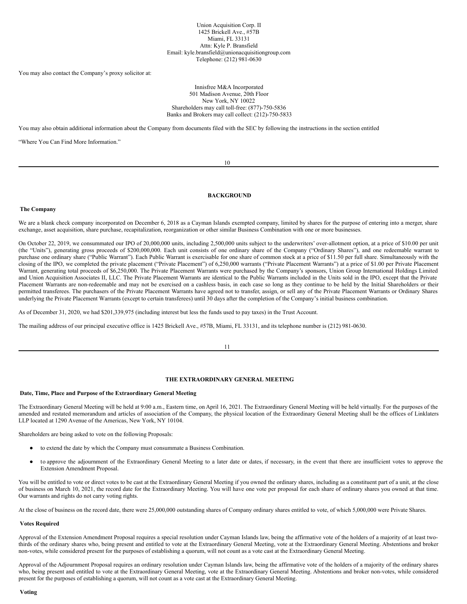#### Union Acquisition Corp. II 1425 Brickell Ave., #57B Miami, FL 33131 Attn: Kyle P. Bransfield Email: kyle.bransfield@unionacquisitiongroup.com Telephone: (212) 981-0630

You may also contact the Company's proxy solicitor at:

#### Innisfree M&A Incorporated 501 Madison Avenue, 20th Floor New York, NY 10022 Shareholders may call toll-free: (877)-750-5836 Banks and Brokers may call collect: (212)-750-5833

You may also obtain additional information about the Company from documents filed with the SEC by following the instructions in the section entitled

"Where You Can Find More Information."

10

# <span id="page-11-0"></span>**BACKGROUND**

## <span id="page-11-1"></span>**The Company**

We are a blank check company incorporated on December 6, 2018 as a Cayman Islands exempted company, limited by shares for the purpose of entering into a merger, share exchange, asset acquisition, share purchase, recapitalization, reorganization or other similar Business Combination with one or more businesses.

On October 22, 2019, we consummated our IPO of 20,000,000 units, including 2,500,000 units subject to the underwriters' over-allotment option, at a price of \$10.00 per unit (the "Units"), generating gross proceeds of \$200,000,000. Each unit consists of one ordinary share of the Company ("Ordinary Shares"), and one redeemable warrant to purchase one ordinary share ("Public Warrant"). Each Public Warrant is exercisable for one share of common stock at a price of \$11.50 per full share. Simultaneously with the closing of the IPO, we completed the private placement ("Private Placement") of 6,250,000 warrants ("Private Placement Warrants") at a price of \$1.00 per Private Placement Warrant, generating total proceeds of \$6,250,000. The Private Placement Warrants were purchased by the Company's sponsors, Union Group International Holdings Limited and Union Acquisition Associates II, LLC. The Private Placement Warrants are identical to the Public Warrants included in the Units sold in the IPO, except that the Private Placement Warrants are non-redeemable and may not be exercised on a cashless basis, in each case so long as they continue to be held by the Initial Shareholders or their permitted transferees. The purchasers of the Private Placement Warrants have agreed not to transfer, assign, or sell any of the Private Placement Warrants or Ordinary Shares underlying the Private Placement Warrants (except to certain transferees) until 30 days after the completion of the Company's initial business combination.

As of December 31, 2020, we had \$201,339,975 (including interest but less the funds used to pay taxes) in the Trust Account.

The mailing address of our principal executive office is 1425 Brickell Ave., #57B, Miami, FL 33131, and its telephone number is (212) 981-0630.

11

# <span id="page-11-2"></span>**THE EXTRAORDINARY GENERAL MEETING**

# <span id="page-11-3"></span>**Date, Time, Place and Purpose of the Extraordinary General Meeting**

The Extraordinary General Meeting will be held at 9:00 a.m., Eastern time, on April 16, 2021. The Extraordinary General Meeting will be held virtually. For the purposes of the amended and restated memorandum and articles of association of the Company, the physical location of the Extraordinary General Meeting shall be the offices of Linklaters LLP located at 1290 Avenue of the Americas, New York, NY 10104.

Shareholders are being asked to vote on the following Proposals:

- to extend the date by which the Company must consummate a Business Combination.
- to approve the adjournment of the Extraordinary General Meeting to a later date or dates, if necessary, in the event that there are insufficient votes to approve the Extension Amendment Proposal.

You will be entitled to vote or direct votes to be cast at the Extraordinary General Meeting if you owned the ordinary shares, including as a constituent part of a unit, at the close of business on March 10, 2021, the record date for the Extraordinary Meeting. You will have one vote per proposal for each share of ordinary shares you owned at that time. Our warrants and rights do not carry voting rights.

At the close of business on the record date, there were 25,000,000 outstanding shares of Company ordinary shares entitled to vote, of which 5,000,000 were Private Shares.

# <span id="page-11-4"></span>**Votes Required**

Approval of the Extension Amendment Proposal requires a special resolution under Cayman Islands law, being the affirmative vote of the holders of a majority of at least twothirds of the ordinary shares who, being present and entitled to vote at the Extraordinary General Meeting, vote at the Extraordinary General Meeting. Abstentions and broker non-votes, while considered present for the purposes of establishing a quorum, will not count as a vote cast at the Extraordinary General Meeting.

<span id="page-11-5"></span>Approval of the Adjournment Proposal requires an ordinary resolution under Cayman Islands law, being the affirmative vote of the holders of a majority of the ordinary shares who, being present and entitled to vote at the Extraordinary General Meeting, vote at the Extraordinary General Meeting. Abstentions and broker non-votes, while considered present for the purposes of establishing a quorum, will not count as a vote cast at the Extraordinary General Meeting.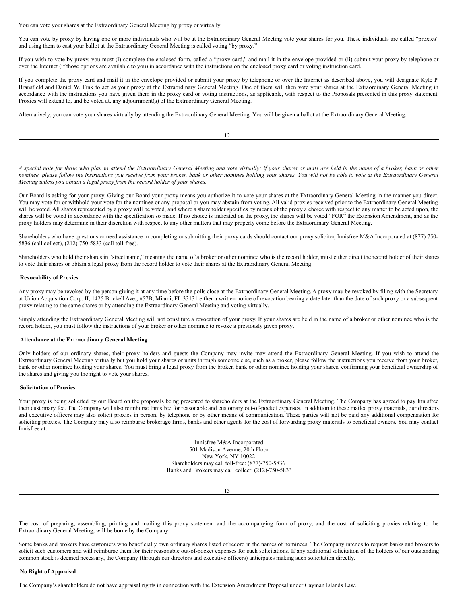You can vote your shares at the Extraordinary General Meeting by proxy or virtually.

You can vote by proxy by having one or more individuals who will be at the Extraordinary General Meeting vote your shares for you. These individuals are called "proxies" and using them to cast your ballot at the Extraordinary General Meeting is called voting "by proxy."

If you wish to vote by proxy, you must (i) complete the enclosed form, called a "proxy card," and mail it in the envelope provided or (ii) submit your proxy by telephone or over the Internet (if those options are available to you) in accordance with the instructions on the enclosed proxy card or voting instruction card.

If you complete the proxy card and mail it in the envelope provided or submit your proxy by telephone or over the Internet as described above, you will designate Kyle P. Bransfield and Daniel W. Fink to act as your proxy at the Extraordinary General Meeting. One of them will then vote your shares at the Extraordinary General Meeting in accordance with the instructions you have given them in the proxy card or voting instructions, as applicable, with respect to the Proposals presented in this proxy statement. Proxies will extend to, and be voted at, any adjournment(s) of the Extraordinary General Meeting.

Alternatively, you can vote your shares virtually by attending the Extraordinary General Meeting. You will be given a ballot at the Extraordinary General Meeting.

A special note for those who plan to attend the Extraordinary General Meeting and vote virtually: if your shares or units are held in the name of a broker, bank or other nominee, please follow the instructions you receive from your broker, bank or other nominee holding your shares. You will not be able to vote at the Extraordinary General *Meeting unless you obtain a legal proxy from the record holder of your shares.*

Our Board is asking for your proxy. Giving our Board your proxy means you authorize it to vote your shares at the Extraordinary General Meeting in the manner you direct. You may vote for or withhold your vote for the nominee or any proposal or you may abstain from voting. All valid proxies received prior to the Extraordinary General Meeting will be voted. All shares represented by a proxy will be voted, and where a shareholder specifies by means of the proxy a choice with respect to any matter to be acted upon, the shares will be voted in accordance with the specification so made. If no choice is indicated on the proxy, the shares will be voted "FOR" the Extension Amendment, and as the proxy holders may determine in their discretion with respect to any other matters that may properly come before the Extraordinary General Meeting.

Shareholders who have questions or need assistance in completing or submitting their proxy cards should contact our proxy solicitor, Innisfree M&A Incorporated at (877) 750- 5836 (call collect), (212) 750-5833 (call toll-free).

Shareholders who hold their shares in "street name," meaning the name of a broker or other nominee who is the record holder, must either direct the record holder of their shares to vote their shares or obtain a legal proxy from the record holder to vote their shares at the Extraordinary General Meeting.

# <span id="page-12-0"></span>**Revocability of Proxies**

Any proxy may be revoked by the person giving it at any time before the polls close at the Extraordinary General Meeting. A proxy may be revoked by filing with the Secretary at Union Acquisition Corp. II, 1425 Brickell Ave., #57B, Miami, FL 33131 either a written notice of revocation bearing a date later than the date of such proxy or a subsequent proxy relating to the same shares or by attending the Extraordinary General Meeting and voting virtually.

Simply attending the Extraordinary General Meeting will not constitute a revocation of your proxy. If your shares are held in the name of a broker or other nominee who is the record holder, you must follow the instructions of your broker or other nominee to revoke a previously given proxy.

#### <span id="page-12-1"></span>**Attendance at the Extraordinary General Meeting**

Only holders of our ordinary shares, their proxy holders and guests the Company may invite may attend the Extraordinary General Meeting. If you wish to attend the Extraordinary General Meeting virtually but you hold your shares or units through someone else, such as a broker, please follow the instructions you receive from your broker, bank or other nominee holding your shares. You must bring a legal proxy from the broker, bank or other nominee holding your shares, confirming your beneficial ownership of the shares and giving you the right to vote your shares.

#### <span id="page-12-2"></span>**Solicitation of Proxies**

Your proxy is being solicited by our Board on the proposals being presented to shareholders at the Extraordinary General Meeting. The Company has agreed to pay Innisfree their customary fee. The Company will also reimburse Innisfree for reasonable and customary out-of-pocket expenses. In addition to these mailed proxy materials, our directors and executive officers may also solicit proxies in person, by telephone or by other means of communication. These parties will not be paid any additional compensation for soliciting proxies. The Company may also reimburse brokerage firms, banks and other agents for the cost of forwarding proxy materials to beneficial owners. You may contact Innisfree at:

> Innisfree M&A Incorporated 501 Madison Avenue, 20th Floor New York, NY 10022 Shareholders may call toll-free: (877)-750-5836 Banks and Brokers may call collect: (212)-750-5833

> > 13

The cost of preparing, assembling, printing and mailing this proxy statement and the accompanying form of proxy, and the cost of soliciting proxies relating to the Extraordinary General Meeting, will be borne by the Company.

Some banks and brokers have customers who beneficially own ordinary shares listed of record in the names of nominees. The Company intends to request banks and brokers to solicit such customers and will reimburse them for their reasonable out-of-pocket expenses for such solicitations. If any additional solicitation of the holders of our outstanding common stock is deemed necessary, the Company (through our directors and executive officers) anticipates making such solicitation directly.

#### <span id="page-12-3"></span>**No Right of Appraisal**

The Company's shareholders do not have appraisal rights in connection with the Extension Amendment Proposal under Cayman Islands Law.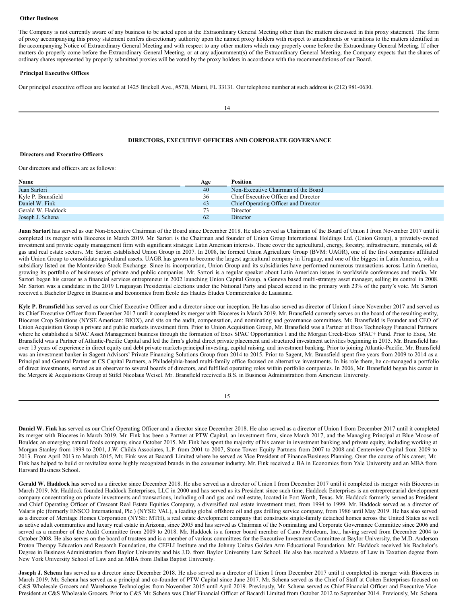#### <span id="page-13-0"></span>**Other Business**

The Company is not currently aware of any business to be acted upon at the Extraordinary General Meeting other than the matters discussed in this proxy statement. The form of proxy accompanying this proxy statement confers discretionary authority upon the named proxy holders with respect to amendments or variations to the matters identified in the accompanying Notice of Extraordinary General Meeting and with respect to any other matters which may properly come before the Extraordinary General Meeting. If other matters do properly come before the Extraordinary General Meeting, or at any adjournment(s) of the Extraordinary General Meeting, the Company expects that the shares of ordinary shares represented by properly submitted proxies will be voted by the proxy holders in accordance with the recommendations of our Board.

#### <span id="page-13-1"></span>**Principal Executive Offices**

Our principal executive offices are located at 1425 Brickell Ave., #57B, Miami, FL 33131. Our telephone number at such address is (212) 981-0630.

14

# <span id="page-13-2"></span>**DIRECTORS, EXECUTIVE OFFICERS AND CORPORATE GOVERNANCE**

# <span id="page-13-3"></span>**Directors and Executive Officers**

Our directors and officers are as follows:

| Name               | Age | Position                             |
|--------------------|-----|--------------------------------------|
| Juan Sartori       | 40  | Non-Executive Chairman of the Board  |
| Kyle P. Bransfield | 36  | Chief Executive Officer and Director |
| Daniel W. Fink     | 43  | Chief Operating Officer and Director |
| Gerald W. Haddock  | 73. | Director                             |
| Joseph J. Schena   | 62  | Director                             |

**Juan Sartori** has served as our Non-Executive Chairman of the Board since December 2018. He also served as Chairman of the Board of Union I from November 2017 until it completed its merger with Bioceres in March 2019. Mr. Sartori is the Chairman and founder of Union Group International Holdings Ltd. (Union Group), a privately-owned investment and private equity management firm with significant strategic Latin American interests. These cover the agricultural, energy, forestry, infrastructure, minerals, oil & gas and real estate sectors. Mr. Sartori established Union Group in 2007. In 2008, he formed Union Agriculture Group (BVM: UAGR), one of the first companies affiliated with Union Group to consolidate agricultural assets. UAGR has grown to become the largest agricultural company in Uruguay, and one of the biggest in Latin America, with a subsidiary listed on the Montevideo Stock Exchange. Since its incorporation, Union Group and its subsidiaries have performed numerous transactions across Latin America, growing its portfolio of businesses of private and public companies. Mr. Sartori is a regular speaker about Latin American issues in worldwide conferences and media. Mr. Sartori began his career as a financial services entrepreneur in 2002 launching Union Capital Group, a Geneva based multi-strategy asset manager, selling its control in 2008. Mr. Sartori was a candidate in the 2019 Uruguayan Presidential elections under the National Party and placed second in the primary with 23% of the party's vote. Mr. Sartori received a Bachelor Degree in Business and Economics from École des Hautes Études Commerciales de Lausanne**.**

**Kyle P. Bransfield** has served as our Chief Executive Officer and a director since our inception. He has also served as director of Union I since November 2017 and served as its Chief Executive Officer from December 2017 until it completed its merger with Bioceres in March 2019. Mr. Bransfield currently serves on the board of the resulting entity, Bioceres Crop Solutions (NYSE American: BIOX), and sits on the audit, compensation, and nominating and governance committees. Mr. Bransfield is Founder and CEO of Union Acquisition Group a private and public markets investment firm. Prior to Union Acquisition Group, Mr. Bransfield was a Partner at Exos Technology Financial Partners where he established a SPAC Asset Management business through the formation of Exos SPAC Opportunities I and the Morgan Creek-Exos SPAC+ Fund. Prior to Exos, Mr. Bransfield was a Partner of Atlantic-Pacific Capital and led the firm's global direct private placement and structured investment activities beginning in 2015. Mr. Bransfield has over 13 years of experience in direct equity and debt private markets principal investing, capital raising, and investment banking. Prior to joining Atlantic-Pacific, Mr. Bransfield was an investment banker in Sagent Advisors' Private Financing Solutions Group from 2014 to 2015. Prior to Sagent, Mr. Bransfield spent five years from 2009 to 2014 as a Principal and General Partner at CS Capital Partners, a Philadelphia-based multi-family office focused on alternative investments. In his role there, he co-managed a portfolio of direct investments, served as an observer to several boards of directors, and fulfilled operating roles within portfolio companies. In 2006, Mr. Bransfield began his career in the Mergers & Acquisitions Group at Stifel Nicolaus Weisel. Mr. Bransfield received a B.S. in Business Administration from American University.

| I<br>I |
|--------|
|        |

**Daniel W. Fink** has served as our Chief Operating Officer and a director since December 2018. He also served as a director of Union I from December 2017 until it completed its merger with Bioceres in March 2019. Mr. Fink has been a Partner at PTW Capital, an investment firm, since March 2017, and the Managing Principal at Blue Moose of Boulder, an emerging natural foods company, since October 2015. Mr. Fink has spent the majority of his career in investment banking and private equity, including working at Morgan Stanley from 1999 to 2001, J.W. Childs Associates, L.P. from 2001 to 2007, Stone Tower Equity Partners from 2007 to 2008 and Centerview Capital from 2009 to 2013. From April 2013 to March 2015, Mr. Fink was at Bacardi Limited where he served as Vice President of Finance/Business Planning. Over the course of his career, Mr. Fink has helped to build or revitalize some highly recognized brands in the consumer industry. Mr. Fink received a BA in Economics from Yale University and an MBA from Harvard Business School.

**Gerald W. Haddock** has served as a director since December 2018. He also served as a director of Union I from December 2017 until it completed its merger with Bioceres in March 2019. Mr. Haddock founded Haddock Enterprises, LLC in 2000 and has served as its President since such time. Haddock Enterprises is an entrepreneurial development company concentrating on private investments and transactions, including oil and gas and real estate, located in Fort Worth, Texas. Mr. Haddock formerly served as President and Chief Operating Officer of Crescent Real Estate Equities Company, a diversified real estate investment trust, from 1994 to 1999. Mr. Haddock served as a director of Valaris plc (formerly ENSCO International, Plc.) (NYSE: VAL), a leading global offshore oil and gas drilling service company, from 1986 until May 2019. He has also served as a director of Meritage Homes Corporation (NYSE: MTH), a real estate development company that constructs single-family detached homes across the United States as well as active adult communities and luxury real estate in Arizona, since 2005 and has served as Chairman of the Nominating and Corporate Governance Committee since 2006 and served as a member of the Audit Committee from 2009 to 2018. Mr. Haddock is a former board member of Cano Petroleum, Inc., having served from December 2004 to October 2008. He also serves on the board of trustees and is a member of various committees for the Executive Investment Committee at Baylor University, the M.D. Anderson Proton Therapy Education and Research Foundation, the CEELI Institute and the Johnny Unitas Golden Arm Educational Foundation. Mr. Haddock received his Bachelor's Degree in Business Administration from Baylor University and his J.D. from Baylor University Law School. He also has received a Masters of Law in Taxation degree from New York University School of Law and an MBA from Dallas Baptist University.

**Joseph J. Schena** has served as a director since December 2018. He also served as a director of Union I from December 2017 until it completed its merger with Bioceres in March 2019. Mr. Schena has served as a principal and co-founder of PTW Capital since June 2017. Mr. Schena served as the Chief of Staff at Cohen Enterprises focused on C&S Wholesale Grocers and Warehouse Technologies from November 2015 until April 2019. Previously, Mr. Schena served as Chief Financial Officer and Executive Vice President at C&S Wholesale Grocers. Prior to C&S Mr. Schena was Chief Financial Officer of Bacardi Limited from October 2012 to September 2014. Previously, Mr. Schena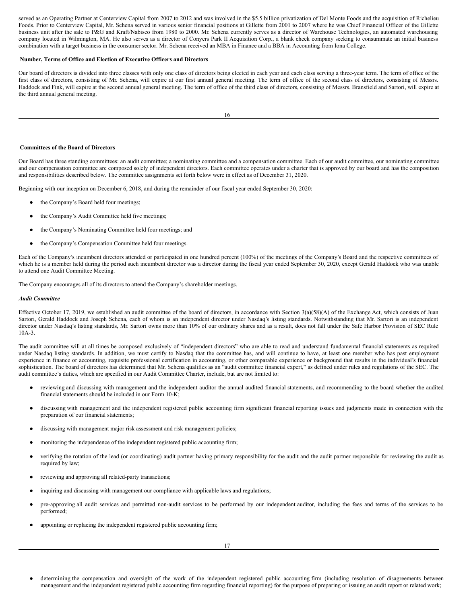served as an Operating Partner at Centerview Capital from 2007 to 2012 and was involved in the \$5.5 billion privatization of Del Monte Foods and the acquisition of Richelieu Foods. Prior to Centerview Capital, Mr. Schena served in various senior financial positions at Gillette from 2001 to 2007 where he was Chief Financial Officer of the Gillette business unit after the sale to P&G and Kraft/Nabisco from 1980 to 2000. Mr. Schena currently serves as a director of Warehouse Technologies, an automated warehousing company located in Wilmington, MA. He also serves as a director of Conyers Park II Acquisition Corp., a blank check company seeking to consummate an initial business combination with a target business in the consumer sector. Mr. Schena received an MBA in Finance and a BBA in Accounting from Iona College.

#### <span id="page-14-0"></span>**Number, Terms of Office and Election of Executive Officers and Directors**

Our board of directors is divided into three classes with only one class of directors being elected in each year and each class serving a three-year term. The term of office of the first class of directors, consisting of Mr. Schena, will expire at our first annual general meeting. The term of office of the second class of directors, consisting of Messrs. Haddock and Fink, will expire at the second annual general meeting. The term of office of the third class of directors, consisting of Messrs. Bransfield and Sartori, will expire at the third annual general meeting.

#### <span id="page-14-1"></span>**Committees of the Board of Directors**

Our Board has three standing committees: an audit committee; a nominating committee and a compensation committee. Each of our audit committee, our nominating committee and our compensation committee are composed solely of independent directors. Each committee operates under a charter that is approved by our board and has the composition and responsibilities described below. The committee assignments set forth below were in effect as of December 31, 2020.

Beginning with our inception on December 6, 2018, and during the remainder of our fiscal year ended September 30, 2020:

- the Company's Board held four meetings;
- the Company's Audit Committee held five meetings;
- the Company's Nominating Committee held four meetings; and
- the Company's Compensation Committee held four meetings.

Each of the Company's incumbent directors attended or participated in one hundred percent (100%) of the meetings of the Company's Board and the respective committees of which he is a member held during the period such incumbent director was a director during the fiscal year ended September 30, 2020, except Gerald Haddock who was unable to attend one Audit Committee Meeting.

The Company encourages all of its directors to attend the Company's shareholder meetings.

#### *Audit Committee*

Effective October 17, 2019, we established an audit committee of the board of directors, in accordance with Section  $3(a)(58)(A)$  of the Exchange Act, which consists of Juan Sartori, Gerald Haddock and Joseph Schena, each of whom is an independent director under Nasdaq's listing standards. Notwithstanding that Mr. Sartori is an independent director under Nasdaq's listing standards, Mr. Sartori owns more than 10% of our ordinary shares and as a result, does not fall under the Safe Harbor Provision of SEC Rule 10A-3.

The audit committee will at all times be composed exclusively of "independent directors" who are able to read and understand fundamental financial statements as required under Nasdaq listing standards. In addition, we must certify to Nasdaq that the committee has, and will continue to have, at least one member who has past employment experience in finance or accounting, requisite professional certification in accounting, or other comparable experience or background that results in the individual's financial sophistication. The board of directors has determined that Mr. Schena qualifies as an "audit committee financial expert," as defined under rules and regulations of the SEC. The audit committee's duties, which are specified in our Audit Committee Charter, include, but are not limited to:

- reviewing and discussing with management and the independent auditor the annual audited financial statements, and recommending to the board whether the audited financial statements should be included in our Form 10-K;
- discussing with management and the independent registered public accounting firm significant financial reporting issues and judgments made in connection with the preparation of our financial statements;
- discussing with management major risk assessment and risk management policies;
- monitoring the independence of the independent registered public accounting firm;
- verifying the rotation of the lead (or coordinating) audit partner having primary responsibility for the audit and the audit partner responsible for reviewing the audit as required by law;
- reviewing and approving all related-party transactions;
- inquiring and discussing with management our compliance with applicable laws and regulations;
- pre-approving all audit services and permitted non-audit services to be performed by our independent auditor, including the fees and terms of the services to be performed;
- appointing or replacing the independent registered public accounting firm;

determining the compensation and oversight of the work of the independent registered public accounting firm (including resolution of disagreements between management and the independent registered public accounting firm regarding financial reporting) for the purpose of preparing or issuing an audit report or related work;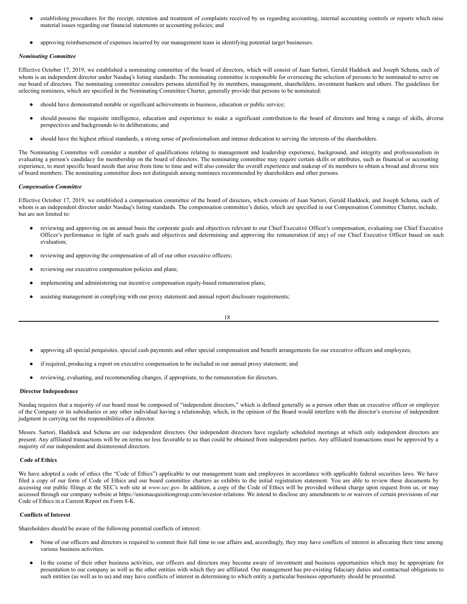- establishing procedures for the receipt, retention and treatment of complaints received by us regarding accounting, internal accounting controls or reports which raise material issues regarding our financial statements or accounting policies; and
- approving reimbursement of expenses incurred by our management team in identifying potential target businesses.

#### *Nominating Committee*

Effective October 17, 2019, we established a nominating committee of the board of directors, which will consist of Juan Sartori, Gerald Haddock and Joseph Schena, each of whom is an independent director under Nasdaq's listing standards. The nominating committee is responsible for overseeing the selection of persons to be nominated to serve on our board of directors. The nominating committee considers persons identified by its members, management, shareholders, investment bankers and others. The guidelines for selecting nominees, which are specified in the Nominating Committee Charter, generally provide that persons to be nominated:

- should have demonstrated notable or significant achievements in business, education or public service;
- should possess the requisite intelligence, education and experience to make a significant contribution to the board of directors and bring a range of skills, diverse perspectives and backgrounds to its deliberations; and
- should have the highest ethical standards, a strong sense of professionalism and intense dedication to serving the interests of the shareholders.

The Nominating Committee will consider a number of qualifications relating to management and leadership experience, background, and integrity and professionalism in evaluating a person's candidacy for membership on the board of directors. The nominating committee may require certain skills or attributes, such as financial or accounting experience, to meet specific board needs that arise from time to time and will also consider the overall experience and makeup of its members to obtain a broad and diverse mix of board members. The nominating committee does not distinguish among nominees recommended by shareholders and other persons.

#### *Compensation Committee*

Effective October 17, 2019, we established a compensation committee of the board of directors, which consists of Juan Sartori, Gerald Haddock, and Joseph Schena, each of whom is an independent director under Nasdaq's listing standards. The compensation committee's duties, which are specified in our Compensation Committee Charter, include, but are not limited to:

- reviewing and approving on an annual basis the corporate goals and objectives relevant to our Chief Executive Officer's compensation, evaluating our Chief Executive Officer's performance in light of such goals and objectives and determining and approving the remuneration (if any) of our Chief Executive Officer based on such evaluation;
- reviewing and approving the compensation of all of our other executive officers;
- reviewing our executive compensation policies and plans;
- implementing and administering our incentive compensation equity-based remuneration plans;
- assisting management in complying with our proxy statement and annual report disclosure requirements;

- approving all special perquisites, special cash payments and other special compensation and benefit arrangements for our executive officers and employees;
- if required, producing a report on executive compensation to be included in our annual proxy statement; and
- reviewing, evaluating, and recommending changes, if appropriate, to the remuneration for directors.

#### <span id="page-15-0"></span>**Director Independence**

Nasdaq requires that a majority of our board must be composed of "independent directors," which is defined generally as a person other than an executive officer or employee of the Company or its subsidiaries or any other individual having a relationship, which, in the opinion of the Board would interfere with the director's exercise of independent judgment in carrying out the responsibilities of a director.

Messrs. Sartori, Haddock and Schena are our independent directors. Our independent directors have regularly scheduled meetings at which only independent directors are present. Any affiliated transactions will be on terms no less favorable to us than could be obtained from independent parties. Any affiliated transactions must be approved by a majority of our independent and disinterested directors.

#### <span id="page-15-1"></span>**Code of Ethics**

We have adopted a code of ethics (the "Code of Ethics") applicable to our management team and employees in accordance with applicable federal securities laws. We have filed a copy of our form of Code of Ethics and our board committee charters as exhibits to the initial registration statement. You are able to review these documents by accessing our public filings at the SEC's web site at *www.sec.gov*. In addition, a copy of the Code of Ethics will be provided without charge upon request from us, or may accessed through our company website at https://unionacquisitiongroup.com/investor-relations. We intend to disclose any amendments to or waivers of certain provisions of our Code of Ethics in a Current Report on Form 8-K.

#### <span id="page-15-2"></span>**Conflicts of Interest**

Shareholders should be aware of the following potential conflicts of interest:

- None of our officers and directors is required to commit their full time to our affairs and, accordingly, they may have conflicts of interest in allocating their time among various business activities.
- In the course of their other business activities, our officers and directors may become aware of investment and business opportunities which may be appropriate for presentation to our company as well as the other entities with which they are affiliated. Our management has pre-existing fiduciary duties and contractual obligations to such entities (as well as to us) and may have conflicts of interest in determining to which entity a particular business opportunity should be presented.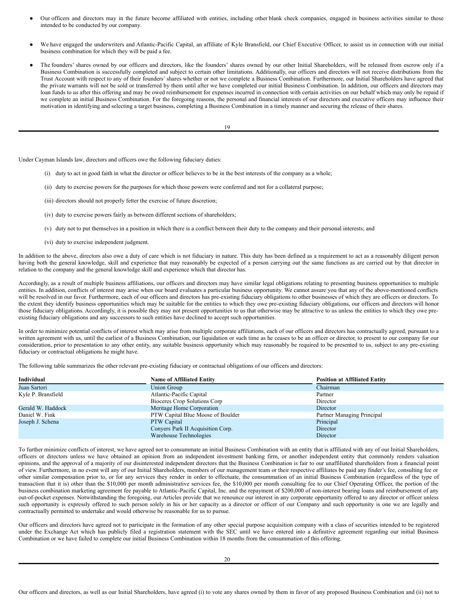- Our officers and directors may in the future become affiliated with entities, including other blank check companies, engaged in business activities similar to those intended to be conducted by our company.
- We have engaged the underwriters and Atlantic-Pacific Capital, an affiliate of Kyle Bransfield, our Chief Executive Officer, to assist us in connection with our initial business combination for which they will be paid a fee.
- The founders' shares owned by our officers and directors, like the founders' shares owned by our other Initial Shareholders, will be released from escrow only if a Business Combination is successfully completed and subject to certain other limitations. Additionally, our officers and directors will not receive distributions from the Trust Account with respect to any of their founders' shares whether or not we complete a Business Combination. Furthermore, our Initial Shareholders have agreed that the private warrants will not be sold or transferred by them until after we have completed our initial Business Combination. In addition, our officers and directors may loan funds to us after this offering and may be owed reimbursement for expenses incurred in connection with certain activities on our behalf which may only be repaid if we complete an initial Business Combination. For the foregoing reasons, the personal and financial interests of our directors and executive officers may influence their motivation in identifying and selecting a target business, completing a Business Combination in a timely manner and securing the release of their shares.

19

Under Cayman Islands law, directors and officers owe the following fiduciary duties:

- (i) duty to act in good faith in what the director or officer believes to be in the best interests of the company as a whole;
- (ii) duty to exercise powers for the purposes for which those powers were conferred and not for a collateral purpose;
- (iii) directors should not properly fetter the exercise of future discretion;
- (iv) duty to exercise powers fairly as between different sections of shareholders;
- (v) duty not to put themselves in a position in which there is a conflict between their duty to the company and their personal interests; and
- (vi) duty to exercise independent judgment.

In addition to the above, directors also owe a duty of care which is not fiduciary in nature. This duty has been defined as a requirement to act as a reasonably diligent person having both the general knowledge, skill and experience that may reasonably be expected of a person carrying out the same functions as are carried out by that director in relation to the company and the general knowledge skill and experience which that director has.

Accordingly, as a result of multiple business affiliations, our officers and directors may have similar legal obligations relating to presenting business opportunities to multiple entities. In addition, conflicts of interest may arise when our board evaluates a particular business opportunity. We cannot assure you that any of the above-mentioned conflicts will be resolved in our favor. Furthermore, each of our officers and directors has pre-existing fiduciary obligations to other businesses of which they are officers or directors. To the extent they identify business opportunities which may be suitable for the entities to which they owe pre-existing fiduciary obligations, our officers and directors will honor those fiduciary obligations. Accordingly, it is possible they may not present opportunities to us that otherwise may be attractive to us unless the entities to which they owe preexisting fiduciary obligations and any successors to such entities have declined to accept such opportunities.

In order to minimize potential conflicts of interest which may arise from multiple corporate affiliations, each of our officers and directors has contractually agreed, pursuant to a written agreement with us, until the earliest of a Business Combination, our liquidation or such time as he ceases to be an officer or director, to present to our company for our consideration, prior to presentation to any other entity, any suitable business opportunity which may reasonably be required to be presented to us, subject to any pre-existing fiduciary or contractual obligations he might have.

The following table summarizes the other relevant pre-existing fiduciary or contractual obligations of our officers and directors:

| Individual         | <b>Name of Affiliated Entity</b>  | <b>Position at Affiliated Entity</b> |
|--------------------|-----------------------------------|--------------------------------------|
| Juan Sartori       | Union Group                       | Chairman                             |
| Kyle P. Bransfield | Atlantic-Pacific Capital          | Partner                              |
|                    | Bioceres Crop Solutions Corp      | Director                             |
| Gerald W. Haddock  | Meritage Home Corporation         | Director                             |
| Daniel W. Fink     | PTW Capital Blue Moose of Boulder | Partner Managing Principal           |
| Joseph J. Schena   | <b>PTW</b> Capital                | Principal                            |
|                    | Convers Park II Acquisition Corp. | Director                             |
|                    | Warehouse Technologies            | Director                             |

To further minimize conflicts of interest, we have agreed not to consummate an initial Business Combination with an entity that is affiliated with any of our Initial Shareholders, officers or directors unless we have obtained an opinion from an independent investment banking firm, or another independent entity that commonly renders valuation opinions, and the approval of a majority of our disinterested independent directors that the Business Combination is fair to our unaffiliated shareholders from a financial point of view. Furthermore, in no event will any of our Initial Shareholders, members of our management team or their respective affiliates be paid any finder's fee, consulting fee or other similar compensation prior to, or for any services they render in order to effectuate, the consummation of an initial Business Combination (regardless of the type of transaction that it is) other than the \$10,000 per month administrative services fee, the \$10,000 per month consulting fee to our Chief Operating Officer, the portion of the business combination marketing agreement fee payable to Atlantic-Pacific Capital, Inc. and the repayment of \$200,000 of non-interest bearing loans and reimbursement of any out-of-pocket expenses. Notwithstanding the foregoing, our Articles provide that we renounce our interest in any corporate opportunity offered to any director or officer unless such opportunity is expressly offered to such person solely in his or her capacity as a director or officer of our Company and such opportunity is one we are legally and contractually permitted to undertake and would otherwise be reasonable for us to pursue.

Our officers and directors have agreed not to participate in the formation of any other special purpose acquisition company with a class of securities intended to be registered under the Exchange Act which has publicly filed a registration statement with the SEC until we have entered into a definitive agreement regarding our initial Business Combination or we have failed to complete our initial Business Combination within 18 months from the consummation of this offering.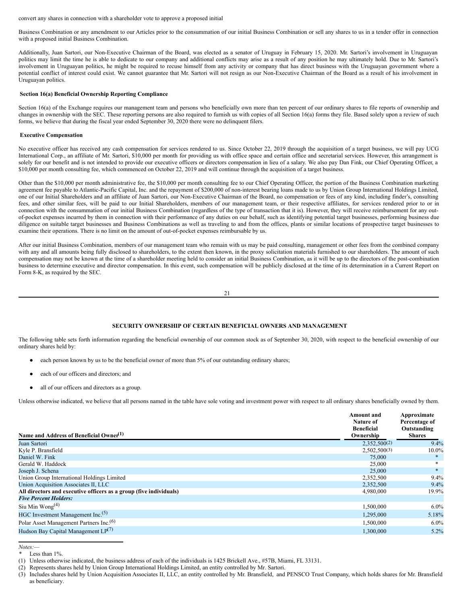convert any shares in connection with a shareholder vote to approve a proposed initial

Business Combination or any amendment to our Articles prior to the consummation of our initial Business Combination or sell any shares to us in a tender offer in connection with a proposed initial Business Combination.

Additionally, Juan Sartori, our Non-Executive Chairman of the Board, was elected as a senator of Uruguay in February 15, 2020. Mr. Sartori's involvement in Uruguayan politics may limit the time he is able to dedicate to our company and additional conflicts may arise as a result of any position he may ultimately hold. Due to Mr. Sartori's involvement in Uruguayan politics, he might be required to recuse himself from any activity or company that has direct business with the Uruguayan government where a potential conflict of interest could exist. We cannot guarantee that Mr. Sartori will not resign as our Non-Executive Chairman of the Board as a result of his involvement in Uruguayan politics.

#### <span id="page-17-0"></span>**Section 16(a) Beneficial Ownership Reporting Compliance**

Section 16(a) of the Exchange requires our management team and persons who beneficially own more than ten percent of our ordinary shares to file reports of ownership and changes in ownership with the SEC. These reporting persons are also required to furnish us with copies of all Section 16(a) forms they file. Based solely upon a review of such forms, we believe that during the fiscal year ended September 30, 2020 there were no delinquent filers.

#### <span id="page-17-1"></span>**Executive Compensation**

No executive officer has received any cash compensation for services rendered to us. Since October 22, 2019 through the acquisition of a target business, we will pay UCG International Corp., an affiliate of Mr. Sartori, \$10,000 per month for providing us with office space and certain office and secretarial services. However, this arrangement is solely for our benefit and is not intended to provide our executive officers or directors compensation in lieu of a salary. We also pay Dan Fink, our Chief Operating Officer, a \$10,000 per month consulting fee, which commenced on October 22, 2019 and will continue through the acquisition of a target business.

Other than the \$10,000 per month administrative fee, the \$10,000 per month consulting fee to our Chief Operating Officer, the portion of the Business Combination marketing agreement fee payable to Atlantic-Pacific Capital, Inc. and the repayment of \$200,000 of non-interest bearing loans made to us by Union Group International Holdings Limited, one of our Initial Shareholders and an affiliate of Juan Sartori, our Non-Executive Chairman of the Board, no compensation or fees of any kind, including finder's, consulting fees, and other similar fees, will be paid to our Initial Shareholders, members of our management team, or their respective affiliates, for services rendered prior to or in connection with the consummation of our initial Business Combination (regardless of the type of transaction that it is). However, they will receive reimbursement for any outof-pocket expenses incurred by them in connection with their performance of any duties on our behalf, such as identifying potential target businesses, performing business due diligence on suitable target businesses and Business Combinations as well as traveling to and from the offices, plants or similar locations of prospective target businesses to examine their operations. There is no limit on the amount of out-of-pocket expenses reimbursable by us.

After our initial Business Combination, members of our management team who remain with us may be paid consulting, management or other fees from the combined company with any and all amounts being fully disclosed to shareholders, to the extent then known, in the proxy solicitation materials furnished to our shareholders. The amount of such compensation may not be known at the time of a shareholder meeting held to consider an initial Business Combination, as it will be up to the directors of the post-combination business to determine executive and director compensation. In this event, such compensation will be publicly disclosed at the time of its determination in a Current Report on Form 8-K, as required by the SEC.

$$
21\quad
$$

# <span id="page-17-2"></span>**SECURITY OWNERSHIP OF CERTAIN BENEFICIAL OWNERS AND MANAGEMENT**

The following table sets forth information regarding the beneficial ownership of our common stock as of September 30, 2020, with respect to the beneficial ownership of our ordinary shares held by:

- each person known by us to be the beneficial owner of more than 5% of our outstanding ordinary shares;
- each of our officers and directors; and
- all of our officers and directors as a group.

Unless otherwise indicated, we believe that all persons named in the table have sole voting and investment power with respect to all ordinary shares beneficially owned by them.

| Name and Address of Beneficial Owner <sup>(1)</sup>                | <b>Amount</b> and<br>Nature of<br><b>Beneficial</b><br>Ownership | Approximate<br>Percentage of<br>Outstanding<br><b>Shares</b> |
|--------------------------------------------------------------------|------------------------------------------------------------------|--------------------------------------------------------------|
| Juan Sartori                                                       | 2.352.500(2)                                                     | 9.4%                                                         |
| Kyle P. Bransfield                                                 | 2,502,500(3)                                                     | $10.0\%$                                                     |
| Daniel W. Fink                                                     | 75,000                                                           | $*$                                                          |
| Gerald W. Haddock                                                  | 25,000                                                           |                                                              |
| Joseph J. Schena                                                   | 25,000                                                           | $*$                                                          |
| Union Group International Holdings Limited                         | 2,352,500                                                        | $9.4\%$                                                      |
| Union Acquisition Associates II, LLC                               | 2,352,500                                                        | 9.4%                                                         |
| All directors and executive officers as a group (five individuals) | 4,980,000                                                        | 19.9%                                                        |
| <b>Five Percent Holders:</b>                                       |                                                                  |                                                              |
| Siu Min Wong <sup>(4)</sup>                                        | 1,500,000                                                        | $6.0\%$                                                      |
| HGC Investment Management Inc. <sup>(5)</sup>                      | 1,295,000                                                        | 5.18%                                                        |
| Polar Asset Management Partners Inc. <sup>(6)</sup>                | 1,500,000                                                        | $6.0\%$                                                      |
| Hudson Bay Capital Management $LP(7)$                              | 1,300,000                                                        | 5.2%                                                         |

*Notes:—*

Less than 1%.

<sup>(1)</sup> Unless otherwise indicated, the business address of each of the individuals is 1425 Brickell Ave., #57B, Miami, FL 33131.

<sup>(2)</sup> Represents shares held by Union Group International Holdings Limited, an entity controlled by Mr. Sartori.

<sup>(3)</sup> Includes shares held by Union Acquisition Associates II, LLC, an entity controlled by Mr. Bransfield, and PENSCO Trust Company, which holds shares for Mr. Bransfield as beneficiary.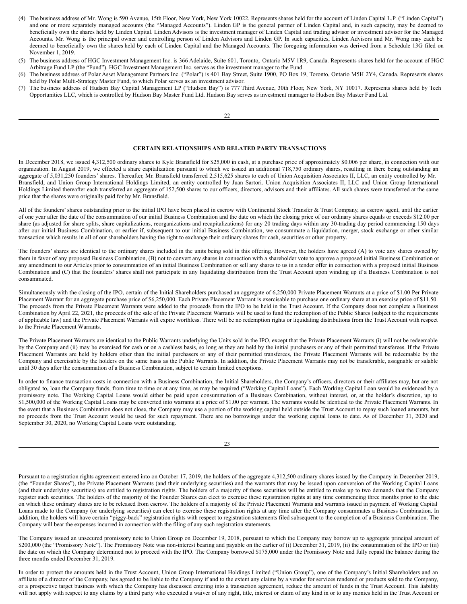- (4) The business address of Mr. Wong is 590 Avenue, 15th Floor, New York, New York 10022. Represents shares held for the account of Linden Capital L.P. ("Linden Capital") and one or more separately managed accounts (the "Managed Accounts"). Linden GP is the general partner of Linden Capital and, in such capacity, may be deemed to beneficially own the shares held by Linden Capital. Linden Advisors is the investment manager of Linden Capital and trading advisor or investment advisor for the Managed Accounts. Mr. Wong is the principal owner and controlling person of Linden Advisors and Linden GP. In such capacities, Linden Advisors and Mr. Wong may each be deemed to beneficially own the shares held by each of Linden Capital and the Managed Accounts. The foregoing information was derived from a Schedule 13G filed on November 1, 2019.
- (5) The business address of HGC Investment Management Inc. is 366 Adelaide, Suite 601, Toronto, Ontario M5V 1R9, Canada. Represents shares held for the account of HGC Arbitrage Fund LP (the "Fund"). HGC Investment Management Inc. serves as the investment manager to the Fund.
- (6) The business address of Polar Asset Management Partners Inc. ("Polar") is 401 Bay Street, Suite 1900, PO Box 19, Toronto, Ontario M5H 2Y4, Canada. Represents shares held by Polar Multi-Strategy Master Fund, to which Polar serves as an investment advisor.
- (7) The business address of Hudson Bay Capital Management LP ("Hudson Bay") is 777 Third Avenue, 30th Floor, New York, NY 10017. Represents shares held by Tech Opportunities LLC, which is controlled by Hudson Bay Master Fund Ltd. Hudson Bay serves as investment manager to Hudson Bay Master Fund Ltd.

# <span id="page-18-0"></span>**CERTAIN RELATIONSHIPS AND RELATED PARTY TRANSACTIONS**

In December 2018, we issued 4,312,500 ordinary shares to Kyle Bransfield for \$25,000 in cash, at a purchase price of approximately \$0.006 per share, in connection with our organization. In August 2019, we effected a share capitalization pursuant to which we issued an additional 718,750 ordinary shares, resulting in there being outstanding an aggregate of 5,031,250 founders' shares. Thereafter, Mr. Bransfield transferred 2,515,625 shares to each of Union Acquisition Associates II, LLC, an entity controlled by Mr. Bransfield, and Union Group International Holdings Limited, an entity controlled by Juan Sartori. Union Acquisition Associates II, LLC and Union Group International Holdings Limited thereafter each transferred an aggregate of 152,500 shares to our officers, directors, advisors and their affiliates. All such shares were transferred at the same price that the shares were originally paid for by Mr. Bransfield.

All of the founders' shares outstanding prior to the initial IPO have been placed in escrow with Continental Stock Transfer & Trust Company, as escrow agent, until the earlier of one year after the date of the consummation of our initial Business Combination and the date on which the closing price of our ordinary shares equals or exceeds \$12.00 per share (as adjusted for share splits, share capitalizations, reorganizations and recapitalizations) for any 20 trading days within any 30-trading day period commencing 150 days after our initial Business Combination, or earlier if, subsequent to our initial Business Combination, we consummate a liquidation, merger, stock exchange or other similar transaction which results in all of our shareholders having the right to exchange their ordinary shares for cash, securities or other property.

The founders' shares are identical to the ordinary shares included in the units being sold in this offering. However, the holders have agreed (A) to vote any shares owned by them in favor of any proposed Business Combination, (B) not to convert any shares in connection with a shareholder vote to approve a proposed initial Business Combination or any amendment to our Articles prior to consummation of an initial Business Combination or sell any shares to us in a tender offer in connection with a proposed initial Business Combination and (C) that the founders' shares shall not participate in any liquidating distribution from the Trust Account upon winding up if a Business Combination is not consummated.

Simultaneously with the closing of the IPO, certain of the Initial Shareholders purchased an aggregate of 6,250,000 Private Placement Warrants at a price of \$1.00 Per Private Placement Warrant for an aggregate purchase price of \$6,250,000. Each Private Placement Warrant is exercisable to purchase one ordinary share at an exercise price of \$11.50. The proceeds from the Private Placement Warrants were added to the proceeds from the IPO to be held in the Trust Account. If the Company does not complete a Business Combination by April 22, 2021, the proceeds of the sale of the Private Placement Warrants will be used to fund the redemption of the Public Shares (subject to the requirements of applicable law) and the Private Placement Warrants will expire worthless. There will be no redemption rights or liquidating distributions from the Trust Account with respect to the Private Placement Warrants.

The Private Placement Warrants are identical to the Public Warrants underlying the Units sold in the IPO, except that the Private Placement Warrants (i) will not be redeemable by the Company and (ii) may be exercised for cash or on a cashless basis, so long as they are held by the initial purchasers or any of their permitted transferees. If the Private Placement Warrants are held by holders other than the initial purchasers or any of their permitted transferees, the Private Placement Warrants will be redeemable by the Company and exercisable by the holders on the same basis as the Public Warrants. In addition, the Private Placement Warrants may not be transferable, assignable or salable until 30 days after the consummation of a Business Combination, subject to certain limited exceptions.

In order to finance transaction costs in connection with a Business Combination, the Initial Shareholders, the Company's officers, directors or their affiliates may, but are not obligated to, loan the Company funds, from time to time or at any time, as may be required ("Working Capital Loans"). Each Working Capital Loan would be evidenced by a promissory note. The Working Capital Loans would either be paid upon consummation of a Business Combination, without interest, or, at the holder's discretion, up to \$1,500,000 of the Working Capital Loans may be converted into warrants at a price of \$1.00 per warrant. The warrants would be identical to the Private Placement Warrants. In the event that a Business Combination does not close, the Company may use a portion of the working capital held outside the Trust Account to repay such loaned amounts, but no proceeds from the Trust Account would be used for such repayment. There are no borrowings under the working capital loans to date. As of December 31, 2020 and September 30, 2020, no Working Capital Loans were outstanding.

 $23$ 

Pursuant to a registration rights agreement entered into on October 17, 2019, the holders of the aggregate 4,312,500 ordinary shares issued by the Company in December 2019, (the "Founder Shares"), the Private Placement Warrants (and their underlying securities) and the warrants that may be issued upon conversion of the Working Capital Loans (and their underlying securities) are entitled to registration rights. The holders of a majority of these securities will be entitled to make up to two demands that the Company register such securities. The holders of the majority of the Founder Shares can elect to exercise these registration rights at any time commencing three months prior to the date on which these ordinary shares are to be released from escrow. The holders of a majority of the Private Placement Warrants and warrants issued in payment of Working Capital Loans made to the Company (or underlying securities) can elect to exercise these registration rights at any time after the Company consummates a Business Combination. In addition, the holders will have certain "piggy-back" registration rights with respect to registration statements filed subsequent to the completion of a Business Combination. The Company will bear the expenses incurred in connection with the filing of any such registration statements.

The Company issued an unsecured promissory note to Union Group on December 19, 2018, pursuant to which the Company may borrow up to aggregate principal amount of \$200,000 (the "Promissory Note"). The Promissory Note was non-interest bearing and payable on the earlier of (i) December 31, 2019, (ii) the consummation of the IPO or (iii) the date on which the Company determined not to proceed with the IPO. The Company borrowed \$175,000 under the Promissory Note and fully repaid the balance during the three months ended December 31, 2019.

In order to protect the amounts held in the Trust Account, Union Group International Holdings Limited ("Union Group"), one of the Company's Initial Shareholders and an affiliate of a director of the Company, has agreed to be liable to the Company if and to the extent any claims by a vendor for services rendered or products sold to the Company, or a prospective target business with which the Company has discussed entering into a transaction agreement, reduce the amount of funds in the Trust Account. This liability will not apply with respect to any claims by a third party who executed a waiver of any right, title, interest or claim of any kind in or to any monies held in the Trust Account or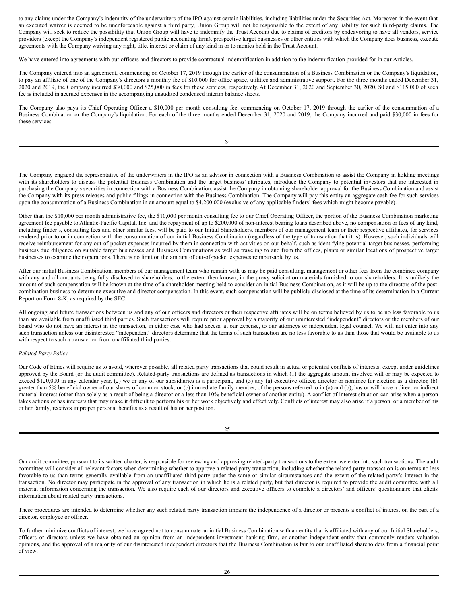to any claims under the Company's indemnity of the underwriters of the IPO against certain liabilities, including liabilities under the Securities Act. Moreover, in the event that an executed waiver is deemed to be unenforceable against a third party, Union Group will not be responsible to the extent of any liability for such third-party claims. The Company will seek to reduce the possibility that Union Group will have to indemnify the Trust Account due to claims of creditors by endeavoring to have all vendors, service providers (except the Company's independent registered public accounting firm), prospective target businesses or other entities with which the Company does business, execute agreements with the Company waiving any right, title, interest or claim of any kind in or to monies held in the Trust Account.

We have entered into agreements with our officers and directors to provide contractual indemnification in addition to the indemnification provided for in our Articles.

The Company entered into an agreement, commencing on October 17, 2019 through the earlier of the consummation of a Business Combination or the Company's liquidation, to pay an affiliate of one of the Company's directors a monthly fee of \$10,000 for office space, utilities and administrative support. For the three months ended December 31, 2020 and 2019, the Company incurred \$30,000 and \$25,000 in fees for these services, respectively. At December 31, 2020 and September 30, 2020, \$0 and \$115,000 of such fee is included in accrued expenses in the accompanying unaudited condensed interim balance sheets.

The Company also pays its Chief Operating Officer a \$10,000 per month consulting fee, commencing on October 17, 2019 through the earlier of the consummation of a Business Combination or the Company's liquidation. For each of the three months ended December 31, 2020 and 2019, the Company incurred and paid \$30,000 in fees for these services.

The Company engaged the representative of the underwriters in the IPO as an advisor in connection with a Business Combination to assist the Company in holding meetings with its shareholders to discuss the potential Business Combination and the target business' attributes, introduce the Company to potential investors that are interested in purchasing the Company's securities in connection with a Business Combination, assist the Company in obtaining shareholder approval for the Business Combination and assist the Company with its press releases and public filings in connection with the Business Combination. The Company will pay this entity an aggregate cash fee for such services upon the consummation of a Business Combination in an amount equal to \$4,200,000 (exclusive of any applicable finders' fees which might become payable).

Other than the \$10,000 per month administrative fee, the \$10,000 per month consulting fee to our Chief Operating Officer, the portion of the Business Combination marketing agreement fee payable to Atlantic-Pacific Capital, Inc. and the repayment of up to \$200,000 of non-interest bearing loans described above, no compensation or fees of any kind, including finder's, consulting fees and other similar fees, will be paid to our Initial Shareholders, members of our management team or their respective affiliates, for services rendered prior to or in connection with the consummation of our initial Business Combination (regardless of the type of transaction that it is). However, such individuals will receive reimbursement for any out-of-pocket expenses incurred by them in connection with activities on our behalf, such as identifying potential target businesses, performing business due diligence on suitable target businesses and Business Combinations as well as traveling to and from the offices, plants or similar locations of prospective target businesses to examine their operations. There is no limit on the amount of out-of-pocket expenses reimbursable by us.

After our initial Business Combination, members of our management team who remain with us may be paid consulting, management or other fees from the combined company with any and all amounts being fully disclosed to shareholders, to the extent then known, in the proxy solicitation materials furnished to our shareholders. It is unlikely the amount of such compensation will be known at the time of a shareholder meeting held to consider an initial Business Combination, as it will be up to the directors of the postcombination business to determine executive and director compensation. In this event, such compensation will be publicly disclosed at the time of its determination in a Current Report on Form 8-K, as required by the SEC.

All ongoing and future transactions between us and any of our officers and directors or their respective affiliates will be on terms believed by us to be no less favorable to us than are available from unaffiliated third parties. Such transactions will require prior approval by a majority of our uninterested "independent" directors or the members of our board who do not have an interest in the transaction, in either case who had access, at our expense, to our attorneys or independent legal counsel. We will not enter into any such transaction unless our disinterested "independent" directors determine that the terms of such transaction are no less favorable to us than those that would be available to us with respect to such a transaction from unaffiliated third parties.

#### *Related Party Policy*

Our Code of Ethics will require us to avoid, wherever possible, all related party transactions that could result in actual or potential conflicts of interests, except under guidelines approved by the Board (or the audit committee). Related-party transactions are defined as transactions in which (1) the aggregate amount involved will or may be expected to exceed \$120,000 in any calendar year, (2) we or any of our subsidiaries is a participant, and (3) any (a) executive officer, director or nominee for election as a director, (b) greater than 5% beneficial owner of our shares of common stock, or (c) immediate family member, of the persons referred to in (a) and (b), has or will have a direct or indirect material interest (other than solely as a result of being a director or a less than 10% beneficial owner of another entity). A conflict of interest situation can arise when a person takes actions or has interests that may make it difficult to perform his or her work objectively and effectively. Conflicts of interest may also arise if a person, or a member of his or her family, receives improper personal benefits as a result of his or her position.

| I<br>I |
|--------|

Our audit committee, pursuant to its written charter, is responsible for reviewing and approving related-party transactions to the extent we enter into such transactions. The audit committee will consider all relevant factors when determining whether to approve a related party transaction, including whether the related party transaction is on terms no less favorable to us than terms generally available from an unaffiliated third-party under the same or similar circumstances and the extent of the related party's interest in the transaction. No director may participate in the approval of any transaction in which he is a related party, but that director is required to provide the audit committee with all material information concerning the transaction. We also require each of our directors and executive officers to complete a directors' and officers' questionnaire that elicits information about related party transactions.

These procedures are intended to determine whether any such related party transaction impairs the independence of a director or presents a conflict of interest on the part of a director, employee or officer.

To further minimize conflicts of interest, we have agreed not to consummate an initial Business Combination with an entity that is affiliated with any of our Initial Shareholders, officers or directors unless we have obtained an opinion from an independent investment banking firm, or another independent entity that commonly renders valuation opinions, and the approval of a majority of our disinterested independent directors that the Business Combination is fair to our unaffiliated shareholders from a financial point of view.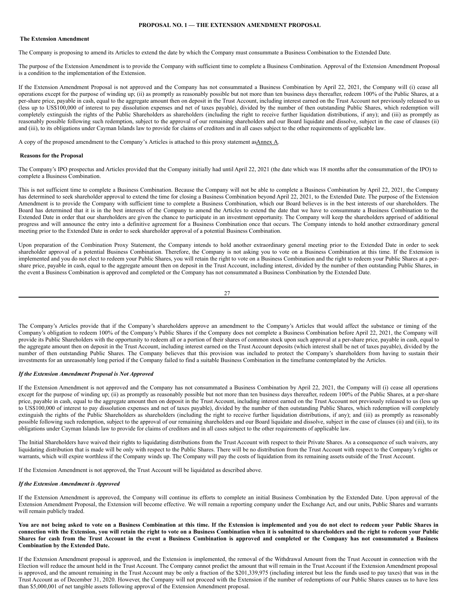# <span id="page-20-0"></span>**PROPOSAL NO. 1 — THE EXTENSION AMENDMENT PROPOSAL**

#### <span id="page-20-1"></span>**The Extension Amendment**

The Company is proposing to amend its Articles to extend the date by which the Company must consummate a Business Combination to the Extended Date.

The purpose of the Extension Amendment is to provide the Company with sufficient time to complete a Business Combination. Approval of the Extension Amendment Proposal is a condition to the implementation of the Extension.

If the Extension Amendment Proposal is not approved and the Company has not consummated a Business Combination by April 22, 2021, the Company will (i) cease all operations except for the purpose of winding up; (ii) as promptly as reasonably possible but not more than ten business days thereafter, redeem 100% of the Public Shares, at a per-share price, payable in cash, equal to the aggregate amount then on deposit in the Trust Account, including interest earned on the Trust Account not previously released to us (less up to US\$100,000 of interest to pay dissolution expenses and net of taxes payable), divided by the number of then outstanding Public Shares, which redemption will completely extinguish the rights of the Public Shareholders as shareholders (including the right to receive further liquidation distributions, if any); and (iii) as promptly as reasonably possible following such redemption, subject to the approval of our remaining shareholders and our Board liquidate and dissolve, subject in the case of clauses (ii) and (iii), to its obligations under Cayman Islands law to provide for claims of creditors and in all cases subject to the other requirements of applicable law.

A copy of the proposed amendment to the Company's Articles is attached to this proxy statement as Annex A.

#### <span id="page-20-2"></span>**Reasons for the Proposal**

The Company's IPO prospectus and Articles provided that the Company initially had until April 22, 2021 (the date which was 18 months after the consummation of the IPO) to complete a Business Combination.

This is not sufficient time to complete a Business Combination. Because the Company will not be able to complete a Business Combination by April 22, 2021, the Company has determined to seek shareholder approval to extend the time for closing a Business Combination beyond April 22, 2021, to the Extended Date. The purpose of the Extension Amendment is to provide the Company with sufficient time to complete a Business Combination, which our Board believes is in the best interests of our shareholders. The Board has determined that it is in the best interests of the Company to amend the Articles to extend the date that we have to consummate a Business Combination to the Extended Date in order that our shareholders are given the chance to participate in an investment opportunity. The Company will keep the shareholders apprised of additional progress and will announce the entry into a definitive agreement for a Business Combination once that occurs. The Company intends to hold another extraordinary general meeting prior to the Extended Date in order to seek shareholder approval of a potential Business Combination.

Upon preparation of the Combination Proxy Statement, the Company intends to hold another extraordinary general meeting prior to the Extended Date in order to seek shareholder approval of a potential Business Combination. Therefore, the Company is not asking you to vote on a Business Combination at this time. If the Extension is implemented and you do not elect to redeem your Public Shares, you will retain the right to vote on a Business Combination and the right to redeem your Public Shares at a pershare price, payable in cash, equal to the aggregate amount then on deposit in the Trust Account, including interest, divided by the number of then outstanding Public Shares, in the event a Business Combination is approved and completed or the Company has not consummated a Business Combination by the Extended Date.

$$
^{27}\!
$$

The Company's Articles provide that if the Company's shareholders approve an amendment to the Company's Articles that would affect the substance or timing of the Company's obligation to redeem 100% of the Company's Public Shares if the Company does not complete a Business Combination before April 22, 2021, the Company will provide its Public Shareholders with the opportunity to redeem all or a portion of their shares of common stock upon such approval at a per-share price, payable in cash, equal to the aggregate amount then on deposit in the Trust Account, including interest earned on the Trust Account deposits (which interest shall be net of taxes payable), divided by the number of then outstanding Public Shares. The Company believes that this provision was included to protect the Company's shareholders from having to sustain their investments for an unreasonably long period if the Company failed to find a suitable Business Combination in the timeframe contemplated by the Articles.

#### *If the Extension Amendment Proposal is Not Approved*

If the Extension Amendment is not approved and the Company has not consummated a Business Combination by April 22, 2021, the Company will (i) cease all operations except for the purpose of winding up; (ii) as promptly as reasonably possible but not more than ten business days thereafter, redeem 100% of the Public Shares, at a per-share price, payable in cash, equal to the aggregate amount then on deposit in the Trust Account, including interest earned on the Trust Account not previously released to us (less up to US\$100,000 of interest to pay dissolution expenses and net of taxes payable), divided by the number of then outstanding Public Shares, which redemption will completely extinguish the rights of the Public Shareholders as shareholders (including the right to receive further liquidation distributions, if any); and (iii) as promptly as reasonably possible following such redemption, subject to the approval of our remaining shareholders and our Board liquidate and dissolve, subject in the case of clauses (ii) and (iii), to its obligations under Cayman Islands law to provide for claims of creditors and in all cases subject to the other requirements of applicable law.

The Initial Shareholders have waived their rights to liquidating distributions from the Trust Account with respect to their Private Shares. As a consequence of such waivers, any liquidating distribution that is made will be only with respect to the Public Shares. There will be no distribution from the Trust Account with respect to the Company's rights or warrants, which will expire worthless if the Company winds up. The Company will pay the costs of liquidation from its remaining assets outside of the Trust Account.

If the Extension Amendment is not approved, the Trust Account will be liquidated as described above.

#### *If the Extension Amendment is Approved*

If the Extension Amendment is approved, the Company will continue its efforts to complete an initial Business Combination by the Extended Date. Upon approval of the Extension Amendment Proposal, the Extension will become effective. We will remain a reporting company under the Exchange Act, and our units, Public Shares and warrants will remain publicly traded.

You are not being asked to vote on a Business Combination at this time. If the Extension is implemented and you do not elect to redeem your Public Shares in connection with the Extension, you will retain the right to vote on a Business Combination when it is submitted to shareholders and the right to redeem your Public Shares for cash from the Trust Account in the event a Business Combination is approved and completed or the Company has not consummated a Business **Combination by the Extended Date.**

If the Extension Amendment proposal is approved, and the Extension is implemented, the removal of the Withdrawal Amount from the Trust Account in connection with the Election will reduce the amount held in the Trust Account. The Company cannot predict the amount that will remain in the Trust Account if the Extension Amendment proposal is approved, and the amount remaining in the Trust Account may be only a fraction of the \$201,339,975 (including interest but less the funds used to pay taxes) that was in the Trust Account as of December 31, 2020. However, the Company will not proceed with the Extension if the number of redemptions of our Public Shares causes us to have less than \$5,000,001 of net tangible assets following approval of the Extension Amendment proposal.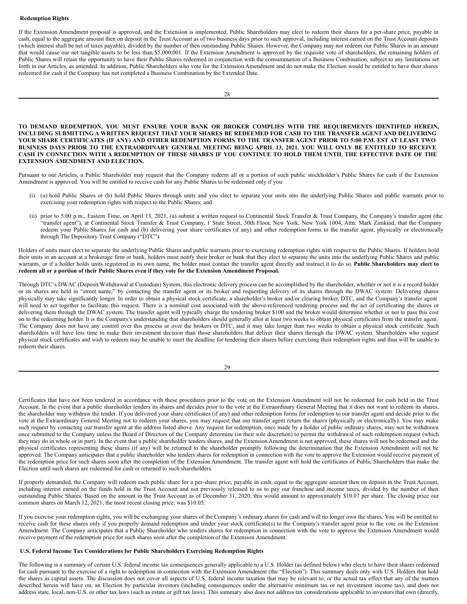#### <span id="page-21-0"></span>**Redemption Rights**

If the Extension Amendment proposal is approved, and the Extension is implemented, Public Shareholders may elect to redeem their shares for a per-share price, payable in cash, equal to the aggregate amount then on deposit in the Trust Account as of two business days prior to such approval, including interest earned on the Trust Account deposits (which interest shall be net of taxes payable), divided by the number of then outstanding Public Shares. However, the Company may not redeem our Public Shares in an amount that would cause our net tangible assets to be less than \$5,000,001. If the Extension Amendment is approved by the requisite vote of shareholders, the remaining holders of Public Shares will retain the opportunity to have their Public Shares redeemed in conjunction with the consummation of a Business Combination, subject to any limitations set forth in our Articles, as amended. In addition, Public Shareholders who vote for the Extension Amendment and do not make the Election would be entitled to have their shares redeemed for cash if the Company has not completed a Business Combination by the Extended Date.

**TO DEMAND REDEMPTION, YOU MUST ENSURE YOUR BANK OR BROKER COMPLIES WITH THE REQUIREMENTS IDENTIFIED HEREIN,** INCLUDING SUBMITTING A WRITTEN REQUEST THAT YOUR SHARES BE REDEEMED FOR CASH TO THE TRANSFER AGENT AND DELIVERING YOUR SHARE CERTIFICATES (IF ANY) AND OTHER REDEMPTION FORMS TO THE TRANSFER AGENT PRIOR TO 5:00 P.M. EST AT LEAST TWO BUSINESS DAYS PRIOR TO THE EXTRAORDINARY GENERAL MEETING BEING APRIL 13, 2021. YOU WILL ONLY BE ENTITLED TO RECEIVE CASH IN CONNECTION WITH A REDEMPTION OF THESE SHARES IF YOU CONTINUE TO HOLD THEM UNTIL THE EFFECTIVE DATE OF THE **EXTENSION AMENDMENT AND ELECTION.**

Pursuant to our Articles, a Public Shareholder may request that the Company redeem all or a portion of such public stockholder's Public Shares for cash if the Extension Amendment is approved. You will be entitled to receive cash for any Public Shares to be redeemed only if you:

- (i) (a) hold Public Shares or (b) hold Public Shares through units and you elect to separate your units into the underlying Public Shares and public warrants prior to exercising your redemption rights with respect to the Public Shares; and
- (ii) prior to 5:00 p.m., Eastern Time, on April 13, 2021, (a) submit a written request to Continental Stock Transfer & Trust Company, the Company's transfer agent (the "transfer agent"), at Continental Stock Transfer & Trust Company, 1 State Street, 30th Floor, New York, New York 1004, Attn: Mark Zimkind, that the Company redeem your Public Shares for cash and (b) delivering your share certificates (if any) and other redemption forms to the transfer agent, physically or electronically through The Depository Trust Company ("DTC").

Holders of units must elect to separate the underlying Public Shares and public warrants prior to exercising redemption rights with respect to the Public Shares. If holders hold their units in an account at a brokerage firm or bank, holders must notify their broker or bank that they elect to separate the units into the underlying Public Shares and public warrants, or if a holder holds units registered in its own name, the holder must contact the transfer agent directly and instruct it to do so. **Public Shareholders may elect to** redeem all or a portion of their Public Shares even if they vote for the Extension Amendment Proposal.

Through DTC's DWAC (Deposit/Withdrawal at Custodian) System, this electronic delivery process can be accomplished by the shareholder, whether or not it is a record holder or its shares are held in "street name," by contacting the transfer agent or its broker and requesting delivery of its shares through the DWAC system. Delivering shares physically may take significantly longer. In order to obtain a physical stock certificate, a shareholder's broker and/or clearing broker, DTC, and the Company's transfer agent will need to act together to facilitate this request. There is a nominal cost associated with the above-referenced tendering process and the act of certificating the shares or delivering them through the DWAC system. The transfer agent will typically charge the tendering broker \$100 and the broker would determine whether or not to pass this cost on to the redeeming holder. It is the Company's understanding that shareholders should generally allot at least two weeks to obtain physical certificates from the transfer agent. The Company does not have any control over this process or over the brokers or DTC, and it may take longer than two weeks to obtain a physical stock certificate. Such shareholders will have less time to make their investment decision than those shareholders that deliver their shares through the DWAC system. Shareholders who request physical stock certificates and wish to redeem may be unable to meet the deadline for tendering their shares before exercising their redemption rights and thus will be unable to redeem their shares.

| v  |                   |
|----|-------------------|
|    | I                 |
|    |                   |
| ۰. | I<br>ł<br>۰.<br>v |

Certificates that have not been tendered in accordance with these procedures prior to the vote on the Extension Amendment will not be redeemed for cash held in the Trust Account. In the event that a public shareholder tenders its shares and decides prior to the vote at the Extraordinary General Meeting that it does not want to redeem its shares, the shareholder may withdraw the tender. If you delivered your share certificates (if any) and other redemption forms for redemption to our transfer agent and decide prior to the vote at the Extraordinary General Meeting not to redeem your shares, you may request that our transfer agent return the shares (physically or electronically). You may make such request by contacting our transfer agent at the address listed above. Any request for redemption, once made by a holder of public ordinary shares, may not be withdrawn once submitted to the Company unless the Board of Directors of the Company determine (in their sole discretion) to permit the withdrawal of such redemption request (which they may do in whole or in part). In the event that a public shareholder tenders shares, and the Extension Amendment is not approved, these shares will not be redeemed and the physical certificates representing these shares (if any) will be returned to the shareholder promptly following the determination that the Extension Amendment will not be approved. The Company anticipates that a public shareholder who tenders shares for redemption in connection with the vote to approve the Extension would receive payment of the redemption price for such shares soon after the completion of the Extension Amendment. The transfer agent will hold the certificates of Public Shareholders that make the Election until such shares are redeemed for cash or returned to such shareholders.

If properly demanded, the Company will redeem each public share for a per-share price, payable in cash, equal to the aggregate amount then on deposit in the Trust Account, including interest earned on the funds held in the Trust Account and not previously released to us to pay our franchise and income taxes, divided by the number of then outstanding Public Shares. Based on the amount in the Trust Account as of December 31, 2020, this would amount to approximately \$10.07 per share. The closing price our common shares on March 12, 2021, the most recent closing price, was \$10.05.

If you exercise your redemption rights, you will be exchanging your shares of the Company's ordinary shares for cash and will no longer own the shares. You will be entitled to receive cash for these shares only if you properly demand redemption and tender your stock certificate(s) to the Company's transfer agent prior to the vote on the Extension Amendment. The Company anticipates that a Public Shareholder who tenders shares for redemption in connection with the vote to approve the Extension Amendment would receive payment of the redemption price for such shares soon after the completion of the Extension Amendment.

# <span id="page-21-1"></span>**U.S. Federal Income Tax Considerations for Public Shareholders Exercising Redemption Rights**

The following is a summary of certain U.S. federal income tax consequences generally applicable to a U.S. Holder (as defined below) who elects to have their shares redeemed for cash pursuant to the exercise of a right to redemption in connection with the Extension Amendment (the "Election"). This summary deals only with U.S. Holders that hold the shares as capital assets. The discussion does not cover all aspects of U.S. federal income taxation that may be relevant to, or the actual tax effect that any of the matters described herein will have on, an Election by particular investors (including consequences under the alternative minimum tax or net investment income tax), and does not address state, local, non-U.S. or other tax laws (such as estate or gift tax laws). This summary also does not address tax considerations applicable to investors that own (directly,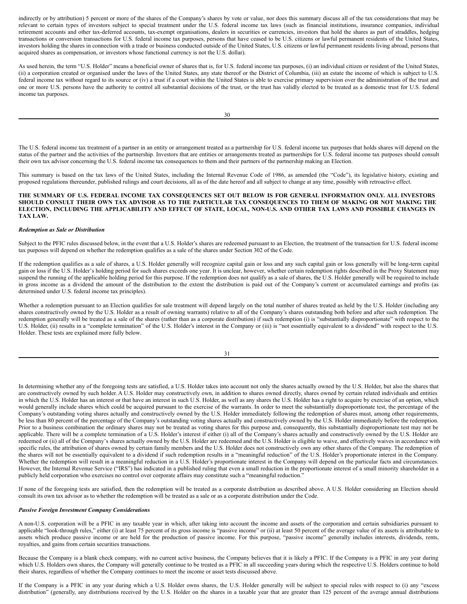indirectly or by attribution) 5 percent or more of the shares of the Company's shares by vote or value, nor does this summary discuss all of the tax considerations that may be relevant to certain types of investors subject to special treatment under the U.S. federal income tax laws (such as financial institutions, insurance companies, individual retirement accounts and other tax-deferred accounts, tax-exempt organisations, dealers in securities or currencies, investors that hold the shares as part of straddles, hedging transactions or conversion transactions for U.S. federal income tax purposes, persons that have ceased to be U.S. citizens or lawful permanent residents of the United States, investors holding the shares in connection with a trade or business conducted outside of the United States, U.S. citizens or lawful permanent residents living abroad, persons that acquired shares as compensation, or investors whose functional currency is not the U.S. dollar).

As used herein, the term "U.S. Holder" means a beneficial owner of shares that is, for U.S. federal income tax purposes, (i) an individual citizen or resident of the United States, (ii) a corporation created or organised under the laws of the United States, any state thereof or the District of Columbia, (iii) an estate the income of which is subject to U.S. federal income tax without regard to its source or (iv) a trust if a court within the United States is able to exercise primary supervision over the administration of the trust and one or more U.S. persons have the authority to control all substantial decisions of the trust, or the trust has validly elected to be treated as a domestic trust for U.S. federal income tax purposes.

The U.S. federal income tax treatment of a partner in an entity or arrangement treated as a partnership for U.S. federal income tax purposes that holds shares will depend on the status of the partner and the activities of the partnership. Investors that are entities or arrangements treated as partnerships for U.S. federal income tax purposes should consult their own tax advisor concerning the U.S. federal income tax consequences to them and their partners of the partnership making an Election.

This summary is based on the tax laws of the United States, including the Internal Revenue Code of 1986, as amended (the "Code"), its legislative history, existing and proposed regulations thereunder, published rulings and court decisions, all as of the date hereof and all subject to change at any time, possibly with retroactive effect.

## THE SUMMARY OF U.S. FEDERAL INCOME TAX CONSEQUENCES SET OUT BELOW IS FOR GENERAL INFORMATION ONLY. ALL INVESTORS SHOULD CONSULT THEIR OWN TAX ADVISOR AS TO THE PARTICULAR TAX CONSEQUENCES TO THEM OF MAKING OR NOT MAKING THE ELECTION, INCLUDING THE APPLICABILITY AND EFFECT OF STATE, LOCAL, NON-U.S. AND OTHER TAX LAWS AND POSSIBLE CHANGES IN **TAX LAW.**

# *Redemption as Sale or Distribution*

Subject to the PFIC rules discussed below, in the event that a U.S. Holder's shares are redeemed pursuant to an Election, the treatment of the transaction for U.S. federal income tax purposes will depend on whether the redemption qualifies as a sale of the shares under Section 302 of the Code.

If the redemption qualifies as a sale of shares, a U.S. Holder generally will recognize capital gain or loss and any such capital gain or loss generally will be long-term capital gain or loss if the U.S. Holder's holding period for such shares exceeds one year. It is unclear, however, whether certain redemption rights described in the Proxy Statement may suspend the running of the applicable holding period for this purpose. If the redemption does not qualify as a sale of shares, the U.S. Holder generally will be required to include in gross income as a dividend the amount of the distribution to the extent the distribution is paid out of the Company's current or accumulated earnings and profits (as determined under U.S. federal income tax principles).

Whether a redemption pursuant to an Election qualifies for sale treatment will depend largely on the total number of shares treated as held by the U.S. Holder (including any shares constructively owned by the U.S. Holder as a result of owning warrants) relative to all of the Company's shares outstanding both before and after such redemption. The redemption generally will be treated as a sale of the shares (rather than as a corporate distribution) if such redemption (i) is "substantially disproportionate" with respect to the U.S. Holder, (ii) results in a "complete termination" of the U.S. Holder's interest in the Company or (iii) is "not essentially equivalent to a dividend" with respect to the U.S. Holder. These tests are explained more fully below.

31

In determining whether any of the foregoing tests are satisfied, a U.S. Holder takes into account not only the shares actually owned by the U.S. Holder, but also the shares that are constructively owned by such holder. A U.S. Holder may constructively own, in addition to shares owned directly, shares owned by certain related individuals and entities in which the U.S. Holder has an interest or that have an interest in such U.S. Holder, as well as any shares the U.S. Holder has a right to acquire by exercise of an option, which would generally include shares which could be acquired pursuant to the exercise of the warrants. In order to meet the substantially disproportionate test, the percentage of the Company's outstanding voting shares actually and constructively owned by the U.S. Holder immediately following the redemption of shares must, among other requirements, be less than 80 percent of the percentage of the Company's outstanding voting shares actually and constructively owned by the U.S. Holder immediately before the redemption. Prior to a business combination the ordinary shares may not be treated as voting shares for this purpose and, consequently, this substantially disproportionate test may not be applicable. There will be a complete termination of a U.S. Holder's interest if either (i) all of the Company's shares actually and constructively owned by the U.S. Holder are redeemed or (ii) all of the Company's shares actually owned by the U.S. Holder are redeemed and the U.S. Holder is eligible to waive, and effectively waives in accordance with specific rules, the attribution of shares owned by certain family members and the U.S. Holder does not constructively own any other shares of the Company. The redemption of the shares will not be essentially equivalent to a dividend if such redemption results in a "meaningful reduction" of the U.S. Holder's proportionate interest in the Company. Whether the redemption will result in a meaningful reduction in a U.S. Holder's proportionate interest in the Company will depend on the particular facts and circumstances. However, the Internal Revenue Service ("IRS") has indicated in a published ruling that even a small reduction in the proportionate interest of a small minority shareholder in a publicly held corporation who exercises no control over corporate affairs may constitute such a "meaningful reduction."

If none of the foregoing tests are satisfied, then the redemption will be treated as a corporate distribution as described above. A U.S. Holder considering an Election should consult its own tax advisor as to whether the redemption will be treated as a sale or as a corporate distribution under the Code.

#### *Passive Foreign Investment Company Considerations*

A non-U.S. corporation will be a PFIC in any taxable year in which, after taking into account the income and assets of the corporation and certain subsidiaries pursuant to applicable "look-through rules," either (i) at least 75 percent of its gross income is "passive income" or (ii) at least 50 percent of the average value of its assets is attributable to assets which produce passive income or are held for the production of passive income. For this purpose, "passive income" generally includes interests, dividends, rents, royalties, and gains from certain securities transactions.

Because the Company is a blank check company, with no current active business, the Company believes that it is likely a PFIC. If the Company is a PFIC in any year during which U.S. Holders own shares, the Company will generally continue to be treated as a PFIC in all succeeding years during which the respective U.S. Holders continue to hold their shares, regardless of whether the Company continues to meet the income or asset tests discussed above.

If the Company is a PFIC in any year during which a U.S. Holder owns shares, the U.S. Holder generally will be subject to special rules with respect to (i) any "excess distribution" (generally, any distributions received by the U.S. Holder on the shares in a taxable year that are greater than 125 percent of the average annual distributions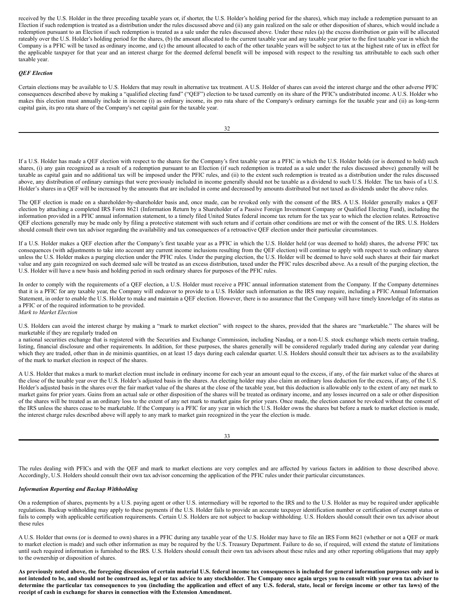received by the U.S. Holder in the three preceding taxable years or, if shorter, the U.S. Holder's holding period for the shares), which may include a redemption pursuant to an Election if such redemption is treated as a distribution under the rules discussed above and (ii) any gain realized on the sale or other disposition of shares, which would include a redemption pursuant to an Election if such redemption is treated as a sale under the rules discussed above. Under these rules (a) the excess distribution or gain will be allocated rateably over the U.S. Holder's holding period for the shares, (b) the amount allocated to the current taxable year and any taxable year prior to the first taxable year in which the Company is a PFIC will be taxed as ordinary income, and (c) the amount allocated to each of the other taxable years will be subject to tax at the highest rate of tax in effect for the applicable taxpayer for that year and an interest charge for the deemed deferral benefit will be imposed with respect to the resulting tax attributable to each such other taxable year.

#### *QEF Election*

Certain elections may be available to U.S. Holders that may result in alternative tax treatment. A U.S. Holder of shares can avoid the interest charge and the other adverse PFIC consequences described above by making a "qualified electing fund" ("QEF") election to be taxed currently on its share of the PFIC's undistributed income. A U.S. Holder who makes this election must annually include in income (i) as ordinary income, its pro rata share of the Company's ordinary earnings for the taxable year and (ii) as long-term capital gain, its pro rata share of the Company's net capital gain for the taxable year.

If a U.S. Holder has made a QEF election with respect to the shares for the Company's first taxable year as a PFIC in which the U.S. Holder holds (or is deemed to hold) such shares, (i) any gain recognized as a result of a redemption pursuant to an Election (if such redemption is treated as a sale under the rules discussed above) generally will be taxable as capital gain and no additional tax will be imposed under the PFIC rules, and (ii) to the extent such redemption is treated as a distribution under the rules discussed above, any distribution of ordinary earnings that were previously included in income generally should not be taxable as a dividend to such U.S. Holder. The tax basis of a U.S. Holder's shares in a QEF will be increased by the amounts that are included in come and decreased by amounts distributed but not taxed as dividends under the above rules.

The QEF election is made on a shareholder-by-shareholder basis and, once made, can be revoked only with the consent of the IRS. A U.S. Holder generally makes a QEF election by attaching a completed IRS Form 8621 (Information Return by a Shareholder of a Passive Foreign Investment Company or Qualified Electing Fund), including the information provided in a PFIC annual information statement, to a timely filed United States federal income tax return for the tax year to which the election relates. Retroactive QEF elections generally may be made only by filing a protective statement with such return and if certain other conditions are met or with the consent of the IRS. U.S. Holders should consult their own tax advisor regarding the availability and tax consequences of a retroactive QEF election under their particular circumstances.

If a U.S. Holder makes a QEF election after the Company's first taxable year as a PFIC in which the U.S. Holder held (or was deemed to hold) shares, the adverse PFIC tax consequences (with adjustments to take into account any current income inclusions resulting from the QEF election) will continue to apply with respect to such ordinary shares unless the U.S. Holder makes a purging election under the PFIC rules. Under the purging election, the U.S. Holder will be deemed to have sold such shares at their fair market value and any gain recognized on such deemed sale will be treated as an excess distribution, taxed under the PFIC rules described above. As a result of the purging election, the U.S. Holder will have a new basis and holding period in such ordinary shares for purposes of the PFIC rules.

In order to comply with the requirements of a QEF election, a U.S. Holder must receive a PFIC annual information statement from the Company. If the Company determines that it is a PFIC for any taxable year, the Company will endeavor to provide to a U.S. Holder such information as the IRS may require, including a PFIC Annual Information Statement, in order to enable the U.S. Holder to make and maintain a QEF election. However, there is no assurance that the Company will have timely knowledge of its status as a PFIC or of the required information to be provided. *Mark to Market Election*

U.S. Holders can avoid the interest charge by making a "mark to market election" with respect to the shares, provided that the shares are "marketable." The shares will be marketable if they are regularly traded on

a national securities exchange that is registered with the Securities and Exchange Commission, including Nasdaq, or a non-U.S. stock exchange which meets certain trading, listing, financial disclosure and other requirements. In addition, for these purposes, the shares generally will be considered regularly traded during any calendar year during which they are traded, other than in de minimis quantities, on at least 15 days during each calendar quarter. U.S. Holders should consult their tax advisers as to the availability of the mark to market election in respect of the shares.

A U.S. Holder that makes a mark to market election must include in ordinary income for each year an amount equal to the excess, if any, of the fair market value of the shares at the close of the taxable year over the U.S. Holder's adjusted basis in the shares. An electing holder may also claim an ordinary loss deduction for the excess, if any, of the U.S. Holder's adjusted basis in the shares over the fair market value of the shares at the close of the taxable year, but this deduction is allowable only to the extent of any net mark to market gains for prior years. Gains from an actual sale or other disposition of the shares will be treated as ordinary income, and any losses incurred on a sale or other disposition of the shares will be treated as an ordinary loss to the extent of any net mark to market gains for prior years. Once made, the election cannot be revoked without the consent of the IRS unless the shares cease to be marketable. If the Company is a PFIC for any year in which the U.S. Holder owns the shares but before a mark to market election is made, the interest charge rules described above will apply to any mark to market gain recognized in the year the election is made.

| e v<br>$\sim$ | ۰,<br>I<br>$\sim$<br>۰. |
|---------------|-------------------------|

The rules dealing with PFICs and with the QEF and mark to market elections are very complex and are affected by various factors in addition to those described above. Accordingly, U.S. Holders should consult their own tax advisor concerning the application of the PFIC rules under their particular circumstances.

# *Information Reporting and Backup Withholding*

On a redemption of shares, payments by a U.S. paying agent or other U.S. intermediary will be reported to the IRS and to the U.S. Holder as may be required under applicable regulations. Backup withholding may apply to these payments if the U.S. Holder fails to provide an accurate taxpayer identification number or certification of exempt status or fails to comply with applicable certification requirements. Certain U.S. Holders are not subject to backup withholding. U.S. Holders should consult their own tax advisor about these rules

A U.S. Holder that owns (or is deemed to own) shares in a PFIC during any taxable year of the U.S. Holder may have to file an IRS Form 8621 (whether or not a QEF or mark to market election is made) and such other information as may be required by the U.S. Treasury Department. Failure to do so, if required, will extend the statute of limitations until such required information is furnished to the IRS. U.S. Holders should consult their own tax advisors about these rules and any other reporting obligations that may apply to the ownership or disposition of shares.

As previously noted above, the foregoing discussion of certain material U.S. federal income tax consequences is included for general information purposes only and is not intended to be, and should not be construed as, legal or tax advice to any stockholder. The Company once again urges you to consult with your own tax adviser to determine the particular tax consequences to you (including the application and effect of any U.S. federal, state, local or foreign income or other tax laws) of the **receipt of cash in exchange for shares in connection with the Extension Amendment.**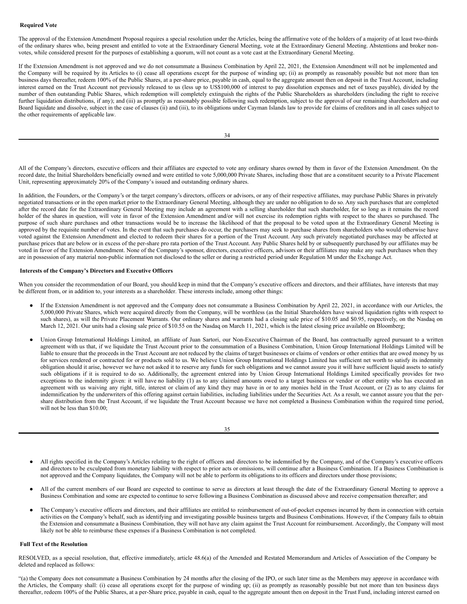#### <span id="page-24-0"></span>**Required Vote**

The approval of the Extension Amendment Proposal requires a special resolution under the Articles, being the affirmative vote of the holders of a majority of at least two-thirds of the ordinary shares who, being present and entitled to vote at the Extraordinary General Meeting, vote at the Extraordinary General Meeting. Abstentions and broker nonvotes, while considered present for the purposes of establishing a quorum, will not count as a vote cast at the Extraordinary General Meeting.

If the Extension Amendment is not approved and we do not consummate a Business Combination by April 22, 2021, the Extension Amendment will not be implemented and the Company will be required by its Articles to (i) cease all operations except for the purpose of winding up; (ii) as promptly as reasonably possible but not more than ten business days thereafter, redeem 100% of the Public Shares, at a per-share price, payable in cash, equal to the aggregate amount then on deposit in the Trust Account, including interest earned on the Trust Account not previously released to us (less up to US\$100,000 of interest to pay dissolution expenses and net of taxes payable), divided by the number of then outstanding Public Shares, which redemption will completely extinguish the rights of the Public Shareholders as shareholders (including the right to receive further liquidation distributions, if any); and (iii) as promptly as reasonably possible following such redemption, subject to the approval of our remaining shareholders and our Board liquidate and dissolve, subject in the case of clauses (ii) and (iii), to its obligations under Cayman Islands law to provide for claims of creditors and in all cases subject to the other requirements of applicable law.

|                  | ٦ |
|------------------|---|
|                  |   |
| I<br>I<br>×<br>v |   |

All of the Company's directors, executive officers and their affiliates are expected to vote any ordinary shares owned by them in favor of the Extension Amendment. On the record date, the Initial Shareholders beneficially owned and were entitled to vote 5,000,000 Private Shares, including those that are a constituent security to a Private Placement Unit, representing approximately 20% of the Company's issued and outstanding ordinary shares.

In addition, the Founders, or the Company's or the target company's directors, officers or advisors, or any of their respective affiliates, may purchase Public Shares in privately negotiated transactions or in the open market prior to the Extraordinary General Meeting, although they are under no obligation to do so. Any such purchases that are completed after the record date for the Extraordinary General Meeting may include an agreement with a selling shareholder that such shareholder, for so long as it remains the record holder of the shares in question, will vote in favor of the Extension Amendment and/or will not exercise its redemption rights with respect to the shares so purchased. The purpose of such share purchases and other transactions would be to increase the likelihood of that the proposal to be voted upon at the Extraordinary General Meeting is approved by the requisite number of votes. In the event that such purchases do occur, the purchasers may seek to purchase shares from shareholders who would otherwise have voted against the Extension Amendment and elected to redeem their shares for a portion of the Trust Account. Any such privately negotiated purchases may be affected at purchase prices that are below or in excess of the per-share pro rata portion of the Trust Account. Any Public Shares held by or subsequently purchased by our affiliates may be voted in favor of the Extension Amendment. None of the Company's sponsor, directors, executive officers, advisors or their affiliates may make any such purchases when they are in possession of any material non-public information not disclosed to the seller or during a restricted period under Regulation M under the Exchange Act.

#### <span id="page-24-1"></span>**Interests of the Company's Directors and Executive Officers**

When you consider the recommendation of our Board, you should keep in mind that the Company's executive officers and directors, and their affiliates, have interests that may be different from, or in addition to, your interests as a shareholder. These interests include, among other things:

- If the Extension Amendment is not approved and the Company does not consummate a Business Combination by April 22, 2021, in accordance with our Articles, the 5,000,000 Private Shares, which were acquired directly from the Company, will be worthless (as the Initial Shareholders have waived liquidation rights with respect to such shares), as will the Private Placement Warrants. Our ordinary shares and warrants had a closing sale price of \$10.05 and \$0.95, respectively, on the Nasdaq on March 12, 2021. Our units had a closing sale price of \$10.55 on the Nasdaq on March 11, 2021, which is the latest closing price available on Bloomberg;
- Union Group International Holdings Limited, an affiliate of Juan Sartori, our Non-Executive Chairman of the Board, has contractually agreed pursuant to a written agreement with us that, if we liquidate the Trust Account prior to the consummation of a Business Combination, Union Group International Holdings Limited will be liable to ensure that the proceeds in the Trust Account are not reduced by the claims of target businesses or claims of vendors or other entities that are owed money by us for services rendered or contracted for or products sold to us. We believe Union Group International Holdings Limited has sufficient net worth to satisfy its indemnity obligation should it arise, however we have not asked it to reserve any funds for such obligations and we cannot assure you it will have sufficient liquid assets to satisfy such obligations if it is required to do so. Additionally, the agreement entered into by Union Group International Holdings Limited specifically provides for two exceptions to the indemnity given: it will have no liability (1) as to any claimed amounts owed to a target business or vendor or other entity who has executed an agreement with us waiving any right, title, interest or claim of any kind they may have in or to any monies held in the Trust Account, or (2) as to any claims for indemnification by the underwriters of this offering against certain liabilities, including liabilities under the Securities Act. As a result, we cannot assure you that the pershare distribution from the Trust Account, if we liquidate the Trust Account because we have not completed a Business Combination within the required time period, will not be less than \$10.00;

| I<br>I<br>I<br>I |
|------------------|
|------------------|

- All rights specified in the Company's Articles relating to the right of officers and directors to be indemnified by the Company, and of the Company's executive officers and directors to be exculpated from monetary liability with respect to prior acts or omissions, will continue after a Business Combination. If a Business Combination is not approved and the Company liquidates, the Company will not be able to perform its obligations to its officers and directors under those provisions;
- All of the current members of our Board are expected to continue to serve as directors at least through the date of the Extraordinary General Meeting to approve a Business Combination and some are expected to continue to serve following a Business Combination as discussed above and receive compensation thereafter; and
- The Company's executive officers and directors, and their affiliates are entitled to reimbursement of out-of-pocket expenses incurred by them in connection with certain activities on the Company's behalf, such as identifying and investigating possible business targets and Business Combinations. However, if the Company fails to obtain the Extension and consummate a Business Combination, they will not have any claim against the Trust Account for reimbursement. Accordingly, the Company will most likely not be able to reimburse these expenses if a Business Combination is not completed.

#### <span id="page-24-2"></span>**Full Text of the Resolution**

RESOLVED, as a special resolution, that, effective immediately, article 48.6(a) of the Amended and Restated Memorandum and Articles of Association of the Company be deleted and replaced as follows:

"(a) the Company does not consummate a Business Combination by 24 months after the closing of the IPO, or such later time as the Members may approve in accordance with the Articles, the Company shall: (i) cease all operations except for the purpose of winding up; (ii) as promptly as reasonably possible but not more than ten business days thereafter, redeem 100% of the Public Shares, at a per-Share price, payable in cash, equal to the aggregate amount then on deposit in the Trust Fund, including interest earned on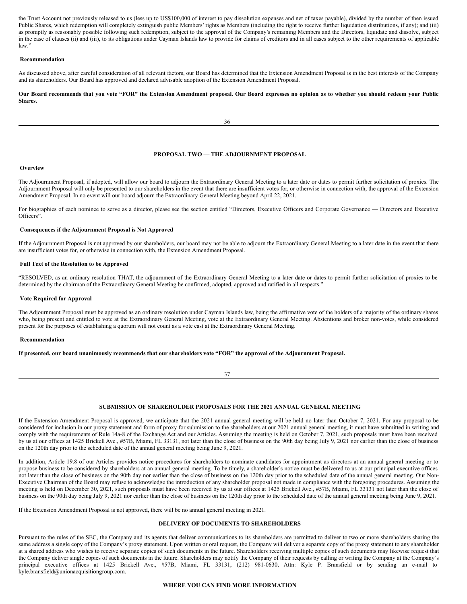the Trust Account not previously released to us (less up to US\$100,000 of interest to pay dissolution expenses and net of taxes payable), divided by the number of then issued Public Shares, which redemption will completely extinguish public Members' rights as Members (including the right to receive further liquidation distributions, if any); and (iii) as promptly as reasonably possible following such redemption, subject to the approval of the Company's remaining Members and the Directors, liquidate and dissolve, subject in the case of clauses (ii) and (iii), to its obligations under Cayman Islands law to provide for claims of creditors and in all cases subject to the other requirements of applicable law."

#### <span id="page-25-0"></span>**Recommendation**

As discussed above, after careful consideration of all relevant factors, our Board has determined that the Extension Amendment Proposal is in the best interests of the Company and its shareholders. Our Board has approved and declared advisable adoption of the Extension Amendment Proposal.

Our Board recommends that you vote "FOR" the Extension Amendment proposal. Our Board expresses no opinion as to whether you should redeem your Public **Shares.**

# <span id="page-25-1"></span>**PROPOSAL TWO — THE ADJOURNMENT PROPOSAL**

#### <span id="page-25-2"></span>**Overview**

The Adjournment Proposal, if adopted, will allow our board to adjourn the Extraordinary General Meeting to a later date or dates to permit further solicitation of proxies. The Adjournment Proposal will only be presented to our shareholders in the event that there are insufficient votes for, or otherwise in connection with, the approval of the Extension Amendment Proposal. In no event will our board adjourn the Extraordinary General Meeting beyond April 22, 2021.

For biographies of each nominee to serve as a director, please see the section entitled "Directors, Executive Officers and Corporate Governance — Directors and Executive Officers".

# <span id="page-25-3"></span>**Consequences if the Adjournment Proposal is Not Approved**

If the Adjournment Proposal is not approved by our shareholders, our board may not be able to adjourn the Extraordinary General Meeting to a later date in the event that there are insufficient votes for, or otherwise in connection with, the Extension Amendment Proposal.

# <span id="page-25-4"></span>**Full Text of the Resolution to be Approved**

"RESOLVED, as an ordinary resolution THAT, the adjournment of the Extraordinary General Meeting to a later date or dates to permit further solicitation of proxies to be determined by the chairman of the Extraordinary General Meeting be confirmed, adopted, approved and ratified in all respects."

#### <span id="page-25-5"></span>**Vote Required for Approval**

The Adjournment Proposal must be approved as an ordinary resolution under Cayman Islands law, being the affirmative vote of the holders of a majority of the ordinary shares who, being present and entitled to vote at the Extraordinary General Meeting, vote at the Extraordinary General Meeting. Abstentions and broker non-votes, while considered present for the purposes of establishing a quorum will not count as a vote cast at the Extraordinary General Meeting.

#### <span id="page-25-6"></span>**Recommendation**

If presented, our board unanimously recommends that our shareholders vote "FOR" the approval of the Adjournment Proposal.

37

# <span id="page-25-7"></span>**SUBMISSION OF SHAREHOLDER PROPOSALS FOR THE 2021 ANNUAL GENERAL MEETING**

If the Extension Amendment Proposal is approved, we anticipate that the 2021 annual general meeting will be held no later than October 7, 2021. For any proposal to be considered for inclusion in our proxy statement and form of proxy for submission to the shareholders at our 2021 annual general meeting, it must have submitted in writing and comply with the requirements of Rule 14a-8 of the Exchange Act and our Articles. Assuming the meeting is held on October 7, 2021, such proposals must have been received by us at our offices at 1425 Brickell Ave., #57B, Miami, FL 33131, not later than the close of business on the 90th day being July 9, 2021 nor earlier than the close of business on the 120th day prior to the scheduled date of the annual general meeting being June 9, 2021.

In addition, Article 19.8 of our Articles provides notice procedures for shareholders to nominate candidates for appointment as directors at an annual general meeting or to propose business to be considered by shareholders at an annual general meeting. To be timely, a shareholder's notice must be delivered to us at our principal executive offices not later than the close of business on the 90th day nor earlier than the close of business on the 120th day prior to the scheduled date of the annual general meeting. Our Non-Executive Chairman of the Board may refuse to acknowledge the introduction of any shareholder proposal not made in compliance with the foregoing procedures. Assuming the meeting is held on December 30, 2021, such proposals must have been received by us at our offices at 1425 Brickell Ave., #57B, Miami, FL 33131 not later than the close of business on the 90th day being July 9, 2021 nor earlier than the close of business on the 120th day prior to the scheduled date of the annual general meeting being June 9, 2021.

If the Extension Amendment Proposal is not approved, there will be no annual general meeting in 2021.

# <span id="page-25-8"></span>**DELIVERY OF DOCUMENTS TO SHAREHOLDERS**

Pursuant to the rules of the SEC, the Company and its agents that deliver communications to its shareholders are permitted to deliver to two or more shareholders sharing the same address a single copy of the Company's proxy statement. Upon written or oral request, the Company will deliver a separate copy of the proxy statement to any shareholder at a shared address who wishes to receive separate copies of such documents in the future. Shareholders receiving multiple copies of such documents may likewise request that the Company deliver single copies of such documents in the future. Shareholders may notify the Company of their requests by calling or writing the Company at the Company's principal executive offices at 1425 Brickell Ave., #57B, Miami, FL 33131, (212) 981-0630, Attn: Kyle P. Bransfield or by sending an e-mail to kyle.bransfield@unionacquisitiongroup.com.

#### <span id="page-25-9"></span>**WHERE YOU CAN FIND MORE INFORMATION**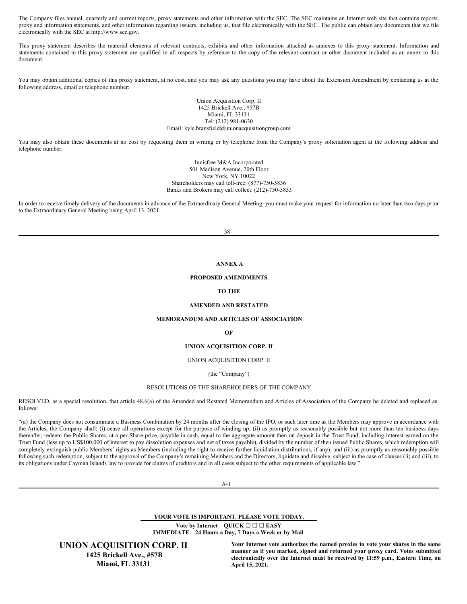The Company files annual, quarterly and current reports, proxy statements and other information with the SEC. The SEC maintains an Internet web site that contains reports, proxy and information statements, and other information regarding issuers, including us, that file electronically with the SEC. The public can obtain any documents that we file electronically with the SEC at http://www.sec.gov.

This proxy statement describes the material elements of relevant contracts, exhibits and other information attached as annexes to this proxy statement. Information and statements contained in this proxy statement are qualified in all respects by reference to the copy of the relevant contract or other document included as an annex to this document.

You may obtain additional copies of this proxy statement, at no cost, and you may ask any questions you may have about the Extension Amendment by contacting us at the following address, email or telephone number:

> Union Acquisition Corp. II 1425 Brickell Ave., #57B Miami, FL 33131 Tel: (212) 981-0630 Email: kyle.bransfield@unionacquisitiongroup.com

You may also obtain these documents at no cost by requesting them in writing or by telephone from the Company's proxy solicitation agent at the following address and telephone number:

> Innisfree M&A Incorporated 501 Madison Avenue, 20th Floor New York, NY 10022 Shareholders may call toll-free: (877)-750-5836 Banks and Brokers may call collect: (212)-750-5833

In order to receive timely delivery of the documents in advance of the Extraordinary General Meeting, you must make your request for information no later than two days prior to the Extraordinary General Meeting being April 13, 2021.

38

# <span id="page-26-0"></span>**ANNEX A**

## **PROPOSED AMENDMENTS**

# **TO THE**

# **AMENDED AND RESTATED**

# **MEMORANDUM AND ARTICLES OF ASSOCIATION**

**OF**

# **UNION ACQUISITION CORP. II**

UNION ACQUISITION CORP. II

(the "Company")

#### RESOLUTIONS OF THE SHAREHOLDERS OF THE COMPANY

RESOLVED, as a special resolution, that article 48.6(a) of the Amended and Restated Memorandum and Articles of Association of the Company be deleted and replaced as follows:

"(a) the Company does not consummate a Business Combination by 24 months after the closing of the IPO, or such later time as the Members may approve in accordance with the Articles, the Company shall: (i) cease all operations except for the purpose of winding up; (ii) as promptly as reasonably possible but not more than ten business days thereafter, redeem the Public Shares, at a per-Share price, payable in cash, equal to the aggregate amount then on deposit in the Trust Fund, including interest earned on the Trust Fund (less up to US\$100,000 of interest to pay dissolution expenses and net of taxes payable), divided by the number of then issued Public Shares, which redemption will completely extinguish public Members' rights as Members (including the right to receive further liquidation distributions, if any); and (iii) as promptly as reasonably possible following such redemption, subject to the approval of the Company's remaining Members and the Directors, liquidate and dissolve, subject in the case of clauses (ii) and (iii), to its obligations under Cayman Islands law to provide for claims of creditors and in all cases subject to the other requirements of applicable law."

A-1

**YOUR VOTE IS IMPORTANT. PLEASE VOTE TODAY.**

**Vote by Internet – QUICK ☐ ☐ ☐ EASY IMMEDIATE – 24 Hours a Day, 7 Days a Week or by Mail**

**UNION ACQUISITION CORP. II 1425 Brickell Ave., #57B Miami, FL 33131**

**Your Internet vote authorizes the named proxies to vote your shares in the same manner as if you marked, signed and returned your proxy card. Votes submitted electronically over the Internet must be received by 11:59 p.m., Eastern Time, on April 15, 2021.**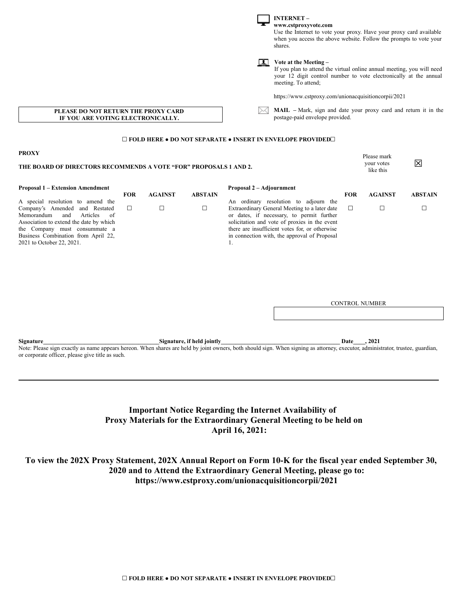|                                                                                                                                                                                                                                                            | <b>INTERNET-</b><br>www.cstproxyvote.com<br>shares. |                |                |                                                                                                                                                                                                                                                                                              |            | Use the Internet to vote your proxy. Have your proxy card available<br>when you access the above website. Follow the prompts to vote your |                |  |
|------------------------------------------------------------------------------------------------------------------------------------------------------------------------------------------------------------------------------------------------------------|-----------------------------------------------------|----------------|----------------|----------------------------------------------------------------------------------------------------------------------------------------------------------------------------------------------------------------------------------------------------------------------------------------------|------------|-------------------------------------------------------------------------------------------------------------------------------------------|----------------|--|
|                                                                                                                                                                                                                                                            |                                                     |                |                | Vote at the Meeting -<br><br>If you plan to attend the virtual online annual meeting, you will need<br>your 12 digit control number to vote electronically at the annual<br>meeting. To attend;                                                                                              |            |                                                                                                                                           |                |  |
|                                                                                                                                                                                                                                                            |                                                     |                |                | https://www.cstproxy.com/unionacquisitioncorpii/2021                                                                                                                                                                                                                                         |            |                                                                                                                                           |                |  |
| MAIL - Mark, sign and date your proxy card and return it in the<br>PLEASE DO NOT RETURN THE PROXY CARD<br>postage-paid envelope provided.<br>IF YOU ARE VOTING ELECTRONICALLY.                                                                             |                                                     |                |                |                                                                                                                                                                                                                                                                                              |            |                                                                                                                                           |                |  |
|                                                                                                                                                                                                                                                            |                                                     |                |                | $\square$ FOLD HERE $\bullet$ DO NOT SEPARATE $\bullet$ INSERT IN ENVELOPE PROVIDED $\square$                                                                                                                                                                                                |            |                                                                                                                                           |                |  |
| <b>PROXY</b><br>THE BOARD OF DIRECTORS RECOMMENDS A VOTE "FOR" PROPOSALS 1 AND 2.                                                                                                                                                                          |                                                     |                |                |                                                                                                                                                                                                                                                                                              |            | Please mark<br>your votes<br>like this                                                                                                    | 図              |  |
| <b>Proposal 1 – Extension Amendment</b>                                                                                                                                                                                                                    | <b>FOR</b>                                          | <b>AGAINST</b> | <b>ABSTAIN</b> | Proposal 2 – Adjournment                                                                                                                                                                                                                                                                     | <b>FOR</b> | <b>AGAINST</b>                                                                                                                            | <b>ABSTAIN</b> |  |
| A special resolution to amend the<br>Company's Amended and Restated<br>Memorandum<br>and<br>Articles<br>of<br>Association to extend the date by which<br>the Company must consummate a<br>Business Combination from April 22,<br>2021 to October 22, 2021. | $\Box$                                              | $\Box$         | $\Box$         | An ordinary resolution to adjourn the<br>Extraordinary General Meeting to a later date<br>or dates, if necessary, to permit further<br>solicitation and vote of proxies in the event<br>there are insufficient votes for, or otherwise<br>in connection with, the approval of Proposal<br>1. | $\Box$     | □                                                                                                                                         | □              |  |
|                                                                                                                                                                                                                                                            |                                                     |                |                |                                                                                                                                                                                                                                                                                              |            | <b>CONTROL NUMBER</b>                                                                                                                     |                |  |

**Signature\_\_\_\_\_\_\_\_\_\_\_\_\_\_\_\_\_\_\_\_\_\_\_\_\_\_\_\_\_\_\_\_\_\_\_\_\_\_\_Signature, if held jointly\_\_\_\_\_\_\_\_\_\_\_\_\_\_\_\_\_\_\_\_\_\_\_\_\_\_\_\_\_\_\_\_\_\_\_\_\_\_\_\_ Date\_\_\_\_, 2021**

Note: Please sign exactly as name appears hereon. When shares are held by joint owners, both should sign. When signing as attorney, executor, administrator, trustee, guardian, or corporate officer, please give title as such.

# **Important Notice Regarding the Internet Availability of Proxy Materials for the Extraordinary General Meeting to be held on April 16, 2021:**

# To view the 202X Proxy Statement, 202X Annual Report on Form 10-K for the fiscal year ended September 30, **2020 and to Attend the Extraordinary General Meeting, please go to: https://www.cstproxy.com/unionacquisitioncorpii/2021**